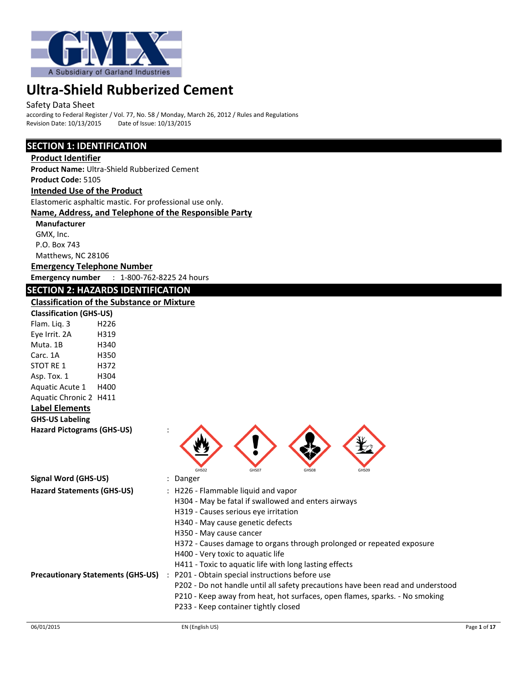

### Safety Data Sheet

according to Federal Register / Vol. 77, No. 58 / Monday, March 26, 2012 / Rules and Regulations<br>Revision Date: 10/13/2015 Date of Issue: 10/13/2015 Revision Date: 10/13/2015

## **SECTION 1: IDENTIFICATION**

### **Product Identifier**

**Product Name:** Ultra-Shield Rubberized Cement **Product Code:** 5105

# **Intended Use of the Product**

Elastomeric asphaltic mastic. For professional use only.

### **Name, Address, and Telephone of the Responsible Party**

**Manufacturer** GMX, Inc.

P.O. Box 743

Matthews, NC 28106

### **Emergency Telephone Number**

**Emergency number** : 1-800-762-8225 24 hours

## **SECTION 2: HAZARDS IDENTIFICATION**

|--|

| <b>Classification (GHS-US)</b>    |                                          |                                                                                 |
|-----------------------------------|------------------------------------------|---------------------------------------------------------------------------------|
| Flam. Liq. 3                      | H <sub>226</sub>                         |                                                                                 |
| Eye Irrit. 2A                     | H319                                     |                                                                                 |
| Muta. 1B                          | H340                                     |                                                                                 |
| Carc. 1A                          | H350                                     |                                                                                 |
| STOT RE 1                         | H372                                     |                                                                                 |
| Asp. Tox. 1                       | H304                                     |                                                                                 |
| Aquatic Acute 1                   | H400                                     |                                                                                 |
| Aquatic Chronic 2 H411            |                                          |                                                                                 |
| <b>Label Elements</b>             |                                          |                                                                                 |
| <b>GHS-US Labeling</b>            |                                          |                                                                                 |
| <b>Hazard Pictograms (GHS-US)</b> |                                          |                                                                                 |
| <b>Signal Word (GHS-US)</b>       |                                          | GHS02<br>GHS07<br>GHS08<br>GHS09<br>Danger                                      |
| Hazard Statements (GHS-US)        |                                          | : H226 - Flammable liquid and vapor                                             |
|                                   |                                          | H304 - May be fatal if swallowed and enters airways                             |
|                                   |                                          | H319 - Causes serious eye irritation                                            |
|                                   |                                          | H340 - May cause genetic defects                                                |
|                                   |                                          | H350 - May cause cancer                                                         |
|                                   |                                          | H372 - Causes damage to organs through prolonged or repeated exposure           |
|                                   |                                          | H400 - Very toxic to aquatic life                                               |
|                                   |                                          | H411 - Toxic to aquatic life with long lasting effects                          |
|                                   | <b>Precautionary Statements (GHS-US)</b> | : P201 - Obtain special instructions before use                                 |
|                                   |                                          | P202 - Do not handle until all safety precautions have been read and understood |
|                                   |                                          | P210 - Keep away from heat, hot surfaces, open flames, sparks. - No smoking     |
|                                   |                                          | P233 - Keep container tightly closed                                            |
|                                   |                                          |                                                                                 |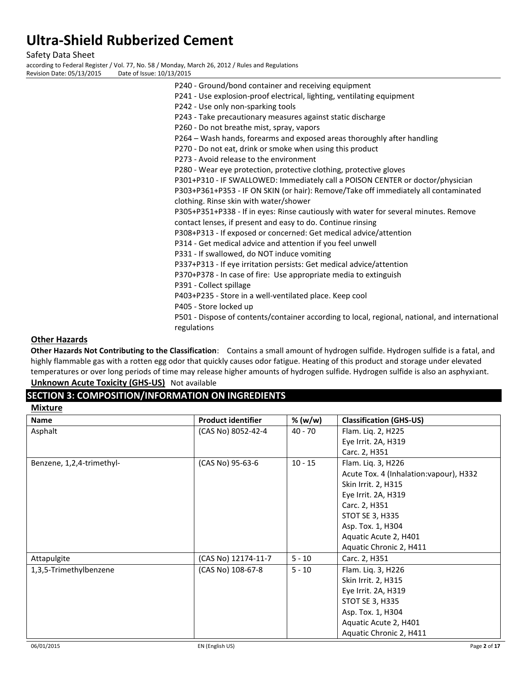Safety Data Sheet

according to Federal Register / Vol. 77, No. 58 / Monday, March 26, 2012 / Rules and Regulations<br>Revision Date: 05/13/2015 Date of Issue: 10/13/2015

Revision Date: 05/13/2015

| P240 - Ground/bond container and receiving equipment                                           |
|------------------------------------------------------------------------------------------------|
| P241 - Use explosion-proof electrical, lighting, ventilating equipment                         |
| P242 - Use only non-sparking tools                                                             |
| P243 - Take precautionary measures against static discharge                                    |
| P260 - Do not breathe mist, spray, vapors                                                      |
| P264 - Wash hands, forearms and exposed areas thoroughly after handling                        |
| P270 - Do not eat, drink or smoke when using this product                                      |
| P273 - Avoid release to the environment                                                        |
| P280 - Wear eye protection, protective clothing, protective gloves                             |
| P301+P310 - IF SWALLOWED: Immediately call a POISON CENTER or doctor/physician                 |
| P303+P361+P353 - IF ON SKIN (or hair): Remove/Take off immediately all contaminated            |
| clothing. Rinse skin with water/shower                                                         |
| P305+P351+P338 - If in eyes: Rinse cautiously with water for several minutes. Remove           |
| contact lenses, if present and easy to do. Continue rinsing                                    |
| P308+P313 - If exposed or concerned: Get medical advice/attention                              |
| P314 - Get medical advice and attention if you feel unwell                                     |
| P331 - If swallowed, do NOT induce vomiting                                                    |
| P337+P313 - If eye irritation persists: Get medical advice/attention                           |
| P370+P378 - In case of fire: Use appropriate media to extinguish                               |
| P391 - Collect spillage                                                                        |
| P403+P235 - Store in a well-ventilated place. Keep cool                                        |
| P405 - Store locked up                                                                         |
| P501 - Dispose of contents/container according to local, regional, national, and international |
| regulations                                                                                    |

#### **Other Hazards**

**Other Hazards Not Contributing to the Classification**: Contains a small amount of hydrogen sulfide. Hydrogen sulfide is a fatal, and highly flammable gas with a rotten egg odor that quickly causes odor fatigue. Heating of this product and storage under elevated temperatures or over long periods of time may release higher amounts of hydrogen sulfide. Hydrogen sulfide is also an asphyxiant. **Unknown Acute Toxicity (GHS-US)** Not available

# **SECTION 3: COMPOSITION/INFORMATION ON INGREDIENTS**

| <b>Mixture</b>            |                           |           |                                         |
|---------------------------|---------------------------|-----------|-----------------------------------------|
| <b>Name</b>               | <b>Product identifier</b> | % (w/w)   | <b>Classification (GHS-US)</b>          |
| Asphalt                   | (CAS No) 8052-42-4        | $40 - 70$ | Flam. Liq. 2, H225                      |
|                           |                           |           | Eye Irrit. 2A, H319                     |
|                           |                           |           | Carc. 2, H351                           |
| Benzene, 1,2,4-trimethyl- | (CAS No) 95-63-6          | $10 - 15$ | Flam. Liq. 3, H226                      |
|                           |                           |           | Acute Tox. 4 (Inhalation: vapour), H332 |
|                           |                           |           | Skin Irrit. 2, H315                     |
|                           |                           |           | Eye Irrit. 2A, H319                     |
|                           |                           |           | Carc. 2, H351                           |
|                           |                           |           | STOT SE 3, H335                         |
|                           |                           |           | Asp. Tox. 1, H304                       |
|                           |                           |           | Aquatic Acute 2, H401                   |
|                           |                           |           | Aquatic Chronic 2, H411                 |
| Attapulgite               | (CAS No) 12174-11-7       | $5 - 10$  | Carc. 2, H351                           |
| 1,3,5-Trimethylbenzene    | (CAS No) 108-67-8         | $5 - 10$  | Flam. Liq. 3, H226                      |
|                           |                           |           | Skin Irrit. 2, H315                     |
|                           |                           |           | Eye Irrit. 2A, H319                     |
|                           |                           |           | STOT SE 3, H335                         |
|                           |                           |           | Asp. Tox. 1, H304                       |
|                           |                           |           | Aquatic Acute 2, H401                   |
|                           |                           |           | Aquatic Chronic 2, H411                 |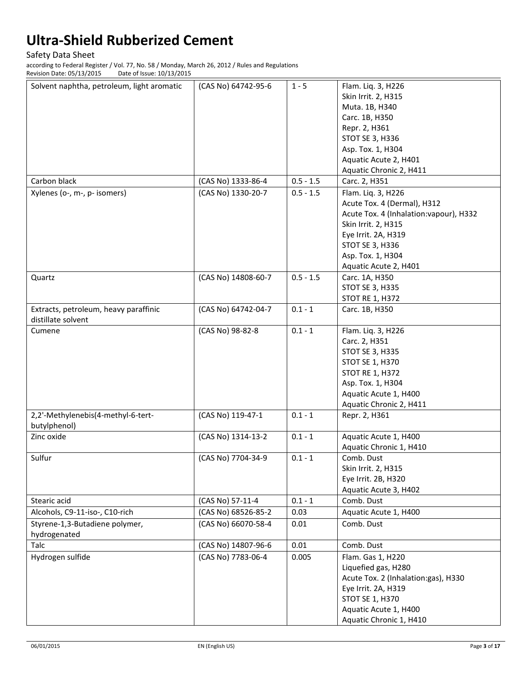Safety Data Sheet

| Solvent naphtha, petroleum, light aromatic         | (CAS No) 64742-95-6 | $1 - 5$     | Flam. Liq. 3, H226                      |
|----------------------------------------------------|---------------------|-------------|-----------------------------------------|
|                                                    |                     |             | Skin Irrit. 2, H315                     |
|                                                    |                     |             | Muta. 1B, H340                          |
|                                                    |                     |             | Carc. 1B, H350                          |
|                                                    |                     |             | Repr. 2, H361                           |
|                                                    |                     |             | <b>STOT SE 3, H336</b>                  |
|                                                    |                     |             |                                         |
|                                                    |                     |             | Asp. Tox. 1, H304                       |
|                                                    |                     |             | Aquatic Acute 2, H401                   |
|                                                    |                     |             | Aquatic Chronic 2, H411                 |
| Carbon black                                       | (CAS No) 1333-86-4  | $0.5 - 1.5$ | Carc. 2, H351                           |
| Xylenes (o-, m-, p- isomers)                       | (CAS No) 1330-20-7  | $0.5 - 1.5$ | Flam. Liq. 3, H226                      |
|                                                    |                     |             | Acute Tox. 4 (Dermal), H312             |
|                                                    |                     |             | Acute Tox. 4 (Inhalation: vapour), H332 |
|                                                    |                     |             | Skin Irrit. 2, H315                     |
|                                                    |                     |             | Eye Irrit. 2A, H319                     |
|                                                    |                     |             |                                         |
|                                                    |                     |             | <b>STOT SE 3, H336</b>                  |
|                                                    |                     |             | Asp. Tox. 1, H304                       |
|                                                    |                     |             | Aquatic Acute 2, H401                   |
| Quartz                                             | (CAS No) 14808-60-7 | $0.5 - 1.5$ | Carc. 1A, H350                          |
|                                                    |                     |             | STOT SE 3, H335                         |
|                                                    |                     |             | <b>STOT RE 1, H372</b>                  |
| Extracts, petroleum, heavy paraffinic              | (CAS No) 64742-04-7 | $0.1 - 1$   | Carc. 1B, H350                          |
| distillate solvent                                 |                     |             |                                         |
| Cumene                                             | (CAS No) 98-82-8    | $0.1 - 1$   | Flam. Liq. 3, H226                      |
|                                                    |                     |             |                                         |
|                                                    |                     |             | Carc. 2, H351                           |
|                                                    |                     |             | STOT SE 3, H335                         |
|                                                    |                     |             | STOT SE 1, H370                         |
|                                                    |                     |             | <b>STOT RE 1, H372</b>                  |
|                                                    |                     |             | Asp. Tox. 1, H304                       |
|                                                    |                     |             | Aquatic Acute 1, H400                   |
|                                                    |                     |             | Aquatic Chronic 2, H411                 |
|                                                    |                     |             |                                         |
| 2,2'-Methylenebis(4-methyl-6-tert-<br>butylphenol) | (CAS No) 119-47-1   | $0.1 - 1$   | Repr. 2, H361                           |
| Zinc oxide                                         | (CAS No) 1314-13-2  | $0.1 - 1$   | Aquatic Acute 1, H400                   |
|                                                    |                     |             | Aquatic Chronic 1, H410                 |
| Sulfur                                             | (CAS No) 7704-34-9  | $0.1 - 1$   | Comb. Dust                              |
|                                                    |                     |             | Skin Irrit. 2, H315                     |
|                                                    |                     |             | Eye Irrit. 2B, H320                     |
|                                                    |                     |             |                                         |
|                                                    |                     |             | Aquatic Acute 3, H402                   |
| Stearic acid                                       | (CAS No) 57-11-4    | $0.1 - 1$   | Comb. Dust                              |
| Alcohols, C9-11-iso-, C10-rich                     | (CAS No) 68526-85-2 | 0.03        | Aquatic Acute 1, H400                   |
| Styrene-1,3-Butadiene polymer,<br>hydrogenated     | (CAS No) 66070-58-4 | 0.01        | Comb. Dust                              |
| Talc                                               | (CAS No) 14807-96-6 | 0.01        | Comb. Dust                              |
| Hydrogen sulfide                                   | (CAS No) 7783-06-4  | 0.005       | Flam. Gas 1, H220                       |
|                                                    |                     |             | Liquefied gas, H280                     |
|                                                    |                     |             |                                         |
|                                                    |                     |             | Acute Tox. 2 (Inhalation:gas), H330     |
|                                                    |                     |             | Eye Irrit. 2A, H319                     |
|                                                    |                     |             | STOT SE 1, H370                         |
|                                                    |                     |             | Aquatic Acute 1, H400                   |
|                                                    |                     |             | Aquatic Chronic 1, H410                 |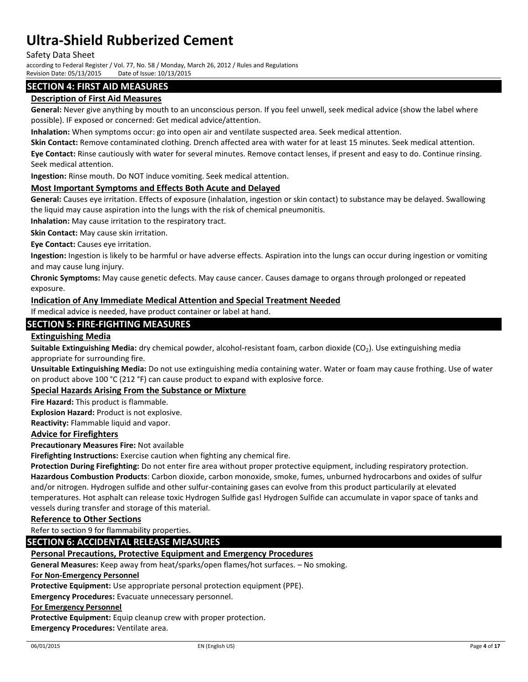Safety Data Sheet

according to Federal Register / Vol. 77, No. 58 / Monday, March 26, 2012 / Rules and Regulations

Revision Date: 05/13/2015 Date of Issue: 10/13/2015

# **SECTION 4: FIRST AID MEASURES**

## **Description of First Aid Measures**

**General:** Never give anything by mouth to an unconscious person. If you feel unwell, seek medical advice (show the label where possible). IF exposed or concerned: Get medical advice/attention.

**Inhalation:** When symptoms occur: go into open air and ventilate suspected area. Seek medical attention.

**Skin Contact:** Remove contaminated clothing. Drench affected area with water for at least 15 minutes. Seek medical attention.

**Eye Contact:** Rinse cautiously with water for several minutes. Remove contact lenses, if present and easy to do. Continue rinsing. Seek medical attention.

**Ingestion:** Rinse mouth. Do NOT induce vomiting. Seek medical attention.

### **Most Important Symptoms and Effects Both Acute and Delayed**

**General:** Causes eye irritation. Effects of exposure (inhalation, ingestion or skin contact) to substance may be delayed. Swallowing the liquid may cause aspiration into the lungs with the risk of chemical pneumonitis.

**Inhalation:** May cause irritation to the respiratory tract.

**Skin Contact:** May cause skin irritation.

**Eye Contact:** Causes eye irritation.

**Ingestion:** Ingestion is likely to be harmful or have adverse effects. Aspiration into the lungs can occur during ingestion or vomiting and may cause lung injury.

**Chronic Symptoms:** May cause genetic defects. May cause cancer. Causes damage to organs through prolonged or repeated exposure.

### **Indication of Any Immediate Medical Attention and Special Treatment Needed**

If medical advice is needed, have product container or label at hand.

# **SECTION 5: FIRE-FIGHTING MEASURES**

### **Extinguishing Media**

**Suitable Extinguishing Media:** dry chemical powder, alcohol-resistant foam, carbon dioxide (CO<sub>2</sub>). Use extinguishing media appropriate for surrounding fire.

**Unsuitable Extinguishing Media:** Do not use extinguishing media containing water. Water or foam may cause frothing. Use of water on product above 100 °C (212 °F) can cause product to expand with explosive force.

### **Special Hazards Arising From the Substance or Mixture**

**Fire Hazard:** This product is flammable.

**Explosion Hazard:** Product is not explosive.

**Reactivity:** Flammable liquid and vapor.

### **Advice for Firefighters**

**Precautionary Measures Fire:** Not available

**Firefighting Instructions:** Exercise caution when fighting any chemical fire.

**Protection During Firefighting:** Do not enter fire area without proper protective equipment, including respiratory protection. **Hazardous Combustion Products**: Carbon dioxide, carbon monoxide, smoke, fumes, unburned hydrocarbons and oxides of sulfur and/or nitrogen. Hydrogen sulfide and other sulfur-containing gases can evolve from this product particularily at elevated temperatures. Hot asphalt can release toxic Hydrogen Sulfide gas! Hydrogen Sulfide can accumulate in vapor space of tanks and vessels during transfer and storage of this material.

#### **Reference to Other Sections**

Refer to section 9 for flammability properties.

### **SECTION 6: ACCIDENTAL RELEASE MEASURES**

### **Personal Precautions, Protective Equipment and Emergency Procedures**

**General Measures:** Keep away from heat/sparks/open flames/hot surfaces. – No smoking.

#### **For Non-Emergency Personnel**

**Protective Equipment:** Use appropriate personal protection equipment (PPE).

**Emergency Procedures:** Evacuate unnecessary personnel.

#### **For Emergency Personnel**

**Protective Equipment:** Equip cleanup crew with proper protection.

**Emergency Procedures:** Ventilate area.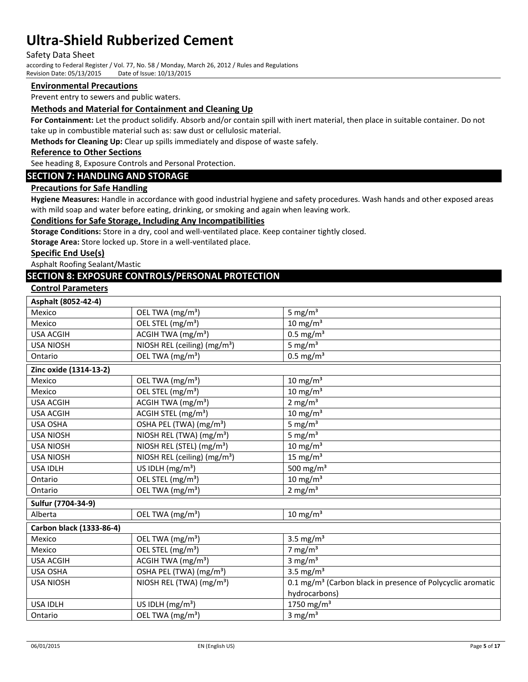Safety Data Sheet

according to Federal Register / Vol. 77, No. 58 / Monday, March 26, 2012 / Rules and Regulations Date of Issue: 10/13/2015

### **Environmental Precautions**

Prevent entry to sewers and public waters.

### **Methods and Material for Containment and Cleaning Up**

**For Containment:** Let the product solidify. Absorb and/or contain spill with inert material, then place in suitable container. Do not take up in combustible material such as: saw dust or cellulosic material.

**Methods for Cleaning Up:** Clear up spills immediately and dispose of waste safely.

#### **Reference to Other Sections**

See heading 8, Exposure Controls and Personal Protection.

### **SECTION 7: HANDLING AND STORAGE**

### **Precautions for Safe Handling**

**Hygiene Measures:** Handle in accordance with good industrial hygiene and safety procedures. Wash hands and other exposed areas with mild soap and water before eating, drinking, or smoking and again when leaving work.

### **Conditions for Safe Storage, Including Any Incompatibilities**

**Storage Conditions:** Store in a dry, cool and well-ventilated place. Keep container tightly closed.

**Storage Area:** Store locked up. Store in a well-ventilated place.

#### **Specific End Use(s)**

Asphalt Roofing Sealant/Mastic

### **SECTION 8: EXPOSURE CONTROLS/PERSONAL PROTECTION**

#### **Control Parameters**

| Asphalt (8052-42-4)      |                                          |                                                                        |  |  |
|--------------------------|------------------------------------------|------------------------------------------------------------------------|--|--|
| Mexico                   | OEL TWA (mg/m <sup>3</sup> )             | 5 mg/ $m3$                                                             |  |  |
| Mexico                   | OEL STEL (mg/m <sup>3</sup> )            | $10 \text{ mg/m}^3$                                                    |  |  |
| <b>USA ACGIH</b>         | ACGIH TWA (mg/m <sup>3</sup> )           | $0.5 \text{ mg/m}^3$                                                   |  |  |
| <b>USA NIOSH</b>         | NIOSH REL (ceiling) $(mg/m3)$            | 5 mg/ $m3$                                                             |  |  |
| Ontario                  | OEL TWA (mg/m <sup>3</sup> )             | $0.5$ mg/m <sup>3</sup>                                                |  |  |
| Zinc oxide (1314-13-2)   |                                          |                                                                        |  |  |
| Mexico                   | OEL TWA (mg/m <sup>3</sup> )             | $10 \text{ mg/m}^3$                                                    |  |  |
| Mexico                   | OEL STEL (mg/m <sup>3</sup> )            | $10 \text{ mg/m}^3$                                                    |  |  |
| <b>USA ACGIH</b>         | ACGIH TWA (mg/m <sup>3</sup> )           | 2 mg/ $m3$                                                             |  |  |
| <b>USA ACGIH</b>         | ACGIH STEL (mg/m <sup>3</sup> )          | $10 \text{ mg/m}^3$                                                    |  |  |
| USA OSHA                 | OSHA PEL (TWA) (mg/m <sup>3</sup> )      | 5 mg/ $m3$                                                             |  |  |
| <b>USA NIOSH</b>         | NIOSH REL (TWA) (mg/m <sup>3</sup> )     | 5 mg/ $m3$                                                             |  |  |
| <b>USA NIOSH</b>         | NIOSH REL (STEL) (mg/m <sup>3</sup> )    | $10 \text{ mg/m}^3$                                                    |  |  |
| <b>USA NIOSH</b>         | NIOSH REL (ceiling) (mg/m <sup>3</sup> ) | 15 mg/ $m3$                                                            |  |  |
| <b>USA IDLH</b>          | US IDLH $(mg/m3)$                        | 500 mg/m $3$                                                           |  |  |
| Ontario                  | OEL STEL (mg/m <sup>3</sup> )            | $10 \text{ mg/m}^3$                                                    |  |  |
| Ontario                  | OEL TWA (mg/m <sup>3</sup> )             | $2 \text{ mg/m}^3$                                                     |  |  |
| Sulfur (7704-34-9)       |                                          |                                                                        |  |  |
| Alberta                  | OEL TWA (mg/m <sup>3</sup> )             | 10 mg/m <sup>3</sup>                                                   |  |  |
| Carbon black (1333-86-4) |                                          |                                                                        |  |  |
| Mexico                   | OEL TWA (mg/m <sup>3</sup> )             | 3.5 mg/ $m3$                                                           |  |  |
| Mexico                   | OEL STEL (mg/m <sup>3</sup> )            | 7 mg/ $m3$                                                             |  |  |
| <b>USA ACGIH</b>         | ACGIH TWA (mg/m <sup>3</sup> )           | $3 \text{ mg/m}^3$                                                     |  |  |
| <b>USA OSHA</b>          | OSHA PEL (TWA) (mg/m <sup>3</sup> )      | 3.5 mg/ $m3$                                                           |  |  |
| <b>USA NIOSH</b>         | NIOSH REL (TWA) (mg/m <sup>3</sup> )     | 0.1 mg/m <sup>3</sup> (Carbon black in presence of Polycyclic aromatic |  |  |
|                          |                                          | hydrocarbons)                                                          |  |  |
| <b>USA IDLH</b>          | US IDLH $(mg/m3)$                        | 1750 mg/m <sup>3</sup>                                                 |  |  |
| Ontario                  | OEL TWA (mg/m <sup>3</sup> )             | $3 \text{ mg/m}^3$                                                     |  |  |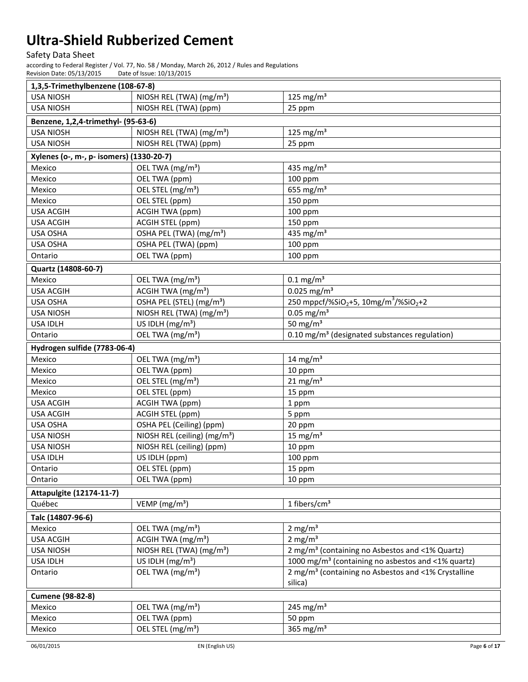Safety Data Sheet

| <b>USA NIOSH</b><br>NIOSH REL (TWA) (mg/m <sup>3</sup> )<br>125 mg/m <sup>3</sup><br><b>USA NIOSH</b><br>NIOSH REL (TWA) (ppm)<br>25 ppm<br>Benzene, 1,2,4-trimethyl- (95-63-6)<br>NIOSH REL (TWA) (mg/m <sup>3</sup> )<br>125 mg/m <sup>3</sup><br><b>USA NIOSH</b><br><b>USA NIOSH</b><br>NIOSH REL (TWA) (ppm)<br>25 ppm<br>Xylenes (o-, m-, p- isomers) (1330-20-7)<br>435 mg/m <sup>3</sup><br>Mexico<br>OEL TWA (mg/m <sup>3</sup> )<br>100 ppm<br>Mexico<br>OEL TWA (ppm)<br>655 mg/m $3$<br>OEL STEL (mg/m <sup>3</sup> )<br>Mexico<br>OEL STEL (ppm)<br>Mexico<br>150 ppm<br><b>USA ACGIH</b><br><b>ACGIH TWA (ppm)</b><br>100 ppm<br>ACGIH STEL (ppm)<br><b>USA ACGIH</b><br>150 ppm<br>435 mg/m <sup>3</sup><br>OSHA PEL (TWA) (mg/m <sup>3</sup> )<br><b>USA OSHA</b><br>OSHA PEL (TWA) (ppm)<br>100 ppm<br><b>USA OSHA</b><br>OEL TWA (ppm)<br>100 ppm<br>Ontario<br>Quartz (14808-60-7)<br>Mexico<br>OEL TWA (mg/m <sup>3</sup> )<br>$0.1 \text{ mg/m}^3$<br>$\frac{0.025 \text{ mg}}{m^3}$<br>ACGIH TWA (mg/m <sup>3</sup> )<br><b>USA ACGIH</b><br>$250$ mppcf/%SiO <sub>2</sub> +5, 10mg/m <sup>3</sup> /%SiO <sub>2</sub> +2<br>OSHA PEL (STEL) (mg/m <sup>3</sup> )<br><b>USA OSHA</b><br>$0.05$ mg/m <sup>3</sup><br><b>USA NIOSH</b><br>NIOSH REL (TWA) (mg/m <sup>3</sup> )<br>US IDLH $(mg/m3)$<br>50 mg/ $m3$<br><b>USA IDLH</b><br>OEL TWA (mg/m <sup>3</sup> )<br>0.10 mg/m <sup>3</sup> (designated substances regulation)<br>Ontario<br>Hydrogen sulfide (7783-06-4)<br>14 mg/ $m3$<br>Mexico<br>OEL TWA (mg/m <sup>3</sup> )<br>10 ppm<br>Mexico<br>OEL TWA (ppm)<br>$21 \text{ mg/m}^3$<br>OEL STEL (mg/m <sup>3</sup> )<br>Mexico<br>OEL STEL (ppm)<br>Mexico<br>15 ppm<br><b>ACGIH TWA (ppm)</b><br><b>USA ACGIH</b><br>1 ppm<br><b>USA ACGIH</b><br>ACGIH STEL (ppm)<br>5 ppm<br>OSHA PEL (Ceiling) (ppm)<br><b>USA OSHA</b><br>20 ppm<br>15 mg/ $m3$<br><b>USA NIOSH</b><br>NIOSH REL (ceiling) (mg/m <sup>3</sup> )<br><b>USA NIOSH</b><br>NIOSH REL (ceiling) (ppm)<br>10 ppm<br>US IDLH (ppm)<br>100 ppm<br>USA IDLH<br>Ontario<br>OEL STEL (ppm)<br>15 ppm<br>OEL TWA (ppm)<br>Ontario<br>10 ppm<br><b>Attapulgite (12174-11-7)</b><br>Québec<br>VEMP ( $mg/m3$ )<br>1 fibers/cm <sup>3</sup><br>Talc (14807-96-6)<br>2 mg/ $m3$<br>OEL TWA (mg/m <sup>3</sup> )<br>Mexico<br>$2 \text{ mg/m}^3$<br><b>USA ACGIH</b><br>ACGIH TWA (mg/m <sup>3</sup> )<br>2 mg/m <sup>3</sup> (containing no Asbestos and <1% Quartz)<br>NIOSH REL (TWA) (mg/m <sup>3</sup> )<br><b>USA NIOSH</b><br>1000 mg/m <sup>3</sup> (containing no asbestos and <1% quartz)<br>US IDLH $(mg/m3)$<br><b>USA IDLH</b><br>OEL TWA (mg/m <sup>3</sup> )<br>2 mg/m <sup>3</sup> (containing no Asbestos and <1% Crystalline<br>Ontario<br>silica)<br><b>Cumene (98-82-8)</b><br>245 mg/m <sup>3</sup><br>Mexico<br>OEL TWA (mg/m <sup>3</sup> )<br>Mexico<br>OEL TWA (ppm)<br>50 ppm<br>OEL STEL (mg/m <sup>3</sup> )<br>365 mg/ $m3$<br>Mexico | 1,3,5-Trimethylbenzene (108-67-8) |  |  |  |  |
|----------------------------------------------------------------------------------------------------------------------------------------------------------------------------------------------------------------------------------------------------------------------------------------------------------------------------------------------------------------------------------------------------------------------------------------------------------------------------------------------------------------------------------------------------------------------------------------------------------------------------------------------------------------------------------------------------------------------------------------------------------------------------------------------------------------------------------------------------------------------------------------------------------------------------------------------------------------------------------------------------------------------------------------------------------------------------------------------------------------------------------------------------------------------------------------------------------------------------------------------------------------------------------------------------------------------------------------------------------------------------------------------------------------------------------------------------------------------------------------------------------------------------------------------------------------------------------------------------------------------------------------------------------------------------------------------------------------------------------------------------------------------------------------------------------------------------------------------------------------------------------------------------------------------------------------------------------------------------------------------------------------------------------------------------------------------------------------------------------------------------------------------------------------------------------------------------------------------------------------------------------------------------------------------------------------------------------------------------------------------------------------------------------------------------------------------------------------------------------------------------------------------------------------------------------------------------------------------------------------------------------------------------------------------------------------------------------------------------------------------------------------------------------------------------------------------------------------------------------------------------------------------------------------------------------------------------------|-----------------------------------|--|--|--|--|
|                                                                                                                                                                                                                                                                                                                                                                                                                                                                                                                                                                                                                                                                                                                                                                                                                                                                                                                                                                                                                                                                                                                                                                                                                                                                                                                                                                                                                                                                                                                                                                                                                                                                                                                                                                                                                                                                                                                                                                                                                                                                                                                                                                                                                                                                                                                                                                                                                                                                                                                                                                                                                                                                                                                                                                                                                                                                                                                                                          |                                   |  |  |  |  |
|                                                                                                                                                                                                                                                                                                                                                                                                                                                                                                                                                                                                                                                                                                                                                                                                                                                                                                                                                                                                                                                                                                                                                                                                                                                                                                                                                                                                                                                                                                                                                                                                                                                                                                                                                                                                                                                                                                                                                                                                                                                                                                                                                                                                                                                                                                                                                                                                                                                                                                                                                                                                                                                                                                                                                                                                                                                                                                                                                          |                                   |  |  |  |  |
|                                                                                                                                                                                                                                                                                                                                                                                                                                                                                                                                                                                                                                                                                                                                                                                                                                                                                                                                                                                                                                                                                                                                                                                                                                                                                                                                                                                                                                                                                                                                                                                                                                                                                                                                                                                                                                                                                                                                                                                                                                                                                                                                                                                                                                                                                                                                                                                                                                                                                                                                                                                                                                                                                                                                                                                                                                                                                                                                                          |                                   |  |  |  |  |
|                                                                                                                                                                                                                                                                                                                                                                                                                                                                                                                                                                                                                                                                                                                                                                                                                                                                                                                                                                                                                                                                                                                                                                                                                                                                                                                                                                                                                                                                                                                                                                                                                                                                                                                                                                                                                                                                                                                                                                                                                                                                                                                                                                                                                                                                                                                                                                                                                                                                                                                                                                                                                                                                                                                                                                                                                                                                                                                                                          |                                   |  |  |  |  |
|                                                                                                                                                                                                                                                                                                                                                                                                                                                                                                                                                                                                                                                                                                                                                                                                                                                                                                                                                                                                                                                                                                                                                                                                                                                                                                                                                                                                                                                                                                                                                                                                                                                                                                                                                                                                                                                                                                                                                                                                                                                                                                                                                                                                                                                                                                                                                                                                                                                                                                                                                                                                                                                                                                                                                                                                                                                                                                                                                          |                                   |  |  |  |  |
|                                                                                                                                                                                                                                                                                                                                                                                                                                                                                                                                                                                                                                                                                                                                                                                                                                                                                                                                                                                                                                                                                                                                                                                                                                                                                                                                                                                                                                                                                                                                                                                                                                                                                                                                                                                                                                                                                                                                                                                                                                                                                                                                                                                                                                                                                                                                                                                                                                                                                                                                                                                                                                                                                                                                                                                                                                                                                                                                                          |                                   |  |  |  |  |
|                                                                                                                                                                                                                                                                                                                                                                                                                                                                                                                                                                                                                                                                                                                                                                                                                                                                                                                                                                                                                                                                                                                                                                                                                                                                                                                                                                                                                                                                                                                                                                                                                                                                                                                                                                                                                                                                                                                                                                                                                                                                                                                                                                                                                                                                                                                                                                                                                                                                                                                                                                                                                                                                                                                                                                                                                                                                                                                                                          |                                   |  |  |  |  |
|                                                                                                                                                                                                                                                                                                                                                                                                                                                                                                                                                                                                                                                                                                                                                                                                                                                                                                                                                                                                                                                                                                                                                                                                                                                                                                                                                                                                                                                                                                                                                                                                                                                                                                                                                                                                                                                                                                                                                                                                                                                                                                                                                                                                                                                                                                                                                                                                                                                                                                                                                                                                                                                                                                                                                                                                                                                                                                                                                          |                                   |  |  |  |  |
|                                                                                                                                                                                                                                                                                                                                                                                                                                                                                                                                                                                                                                                                                                                                                                                                                                                                                                                                                                                                                                                                                                                                                                                                                                                                                                                                                                                                                                                                                                                                                                                                                                                                                                                                                                                                                                                                                                                                                                                                                                                                                                                                                                                                                                                                                                                                                                                                                                                                                                                                                                                                                                                                                                                                                                                                                                                                                                                                                          |                                   |  |  |  |  |
|                                                                                                                                                                                                                                                                                                                                                                                                                                                                                                                                                                                                                                                                                                                                                                                                                                                                                                                                                                                                                                                                                                                                                                                                                                                                                                                                                                                                                                                                                                                                                                                                                                                                                                                                                                                                                                                                                                                                                                                                                                                                                                                                                                                                                                                                                                                                                                                                                                                                                                                                                                                                                                                                                                                                                                                                                                                                                                                                                          |                                   |  |  |  |  |
|                                                                                                                                                                                                                                                                                                                                                                                                                                                                                                                                                                                                                                                                                                                                                                                                                                                                                                                                                                                                                                                                                                                                                                                                                                                                                                                                                                                                                                                                                                                                                                                                                                                                                                                                                                                                                                                                                                                                                                                                                                                                                                                                                                                                                                                                                                                                                                                                                                                                                                                                                                                                                                                                                                                                                                                                                                                                                                                                                          |                                   |  |  |  |  |
|                                                                                                                                                                                                                                                                                                                                                                                                                                                                                                                                                                                                                                                                                                                                                                                                                                                                                                                                                                                                                                                                                                                                                                                                                                                                                                                                                                                                                                                                                                                                                                                                                                                                                                                                                                                                                                                                                                                                                                                                                                                                                                                                                                                                                                                                                                                                                                                                                                                                                                                                                                                                                                                                                                                                                                                                                                                                                                                                                          |                                   |  |  |  |  |
|                                                                                                                                                                                                                                                                                                                                                                                                                                                                                                                                                                                                                                                                                                                                                                                                                                                                                                                                                                                                                                                                                                                                                                                                                                                                                                                                                                                                                                                                                                                                                                                                                                                                                                                                                                                                                                                                                                                                                                                                                                                                                                                                                                                                                                                                                                                                                                                                                                                                                                                                                                                                                                                                                                                                                                                                                                                                                                                                                          |                                   |  |  |  |  |
|                                                                                                                                                                                                                                                                                                                                                                                                                                                                                                                                                                                                                                                                                                                                                                                                                                                                                                                                                                                                                                                                                                                                                                                                                                                                                                                                                                                                                                                                                                                                                                                                                                                                                                                                                                                                                                                                                                                                                                                                                                                                                                                                                                                                                                                                                                                                                                                                                                                                                                                                                                                                                                                                                                                                                                                                                                                                                                                                                          |                                   |  |  |  |  |
|                                                                                                                                                                                                                                                                                                                                                                                                                                                                                                                                                                                                                                                                                                                                                                                                                                                                                                                                                                                                                                                                                                                                                                                                                                                                                                                                                                                                                                                                                                                                                                                                                                                                                                                                                                                                                                                                                                                                                                                                                                                                                                                                                                                                                                                                                                                                                                                                                                                                                                                                                                                                                                                                                                                                                                                                                                                                                                                                                          |                                   |  |  |  |  |
|                                                                                                                                                                                                                                                                                                                                                                                                                                                                                                                                                                                                                                                                                                                                                                                                                                                                                                                                                                                                                                                                                                                                                                                                                                                                                                                                                                                                                                                                                                                                                                                                                                                                                                                                                                                                                                                                                                                                                                                                                                                                                                                                                                                                                                                                                                                                                                                                                                                                                                                                                                                                                                                                                                                                                                                                                                                                                                                                                          |                                   |  |  |  |  |
|                                                                                                                                                                                                                                                                                                                                                                                                                                                                                                                                                                                                                                                                                                                                                                                                                                                                                                                                                                                                                                                                                                                                                                                                                                                                                                                                                                                                                                                                                                                                                                                                                                                                                                                                                                                                                                                                                                                                                                                                                                                                                                                                                                                                                                                                                                                                                                                                                                                                                                                                                                                                                                                                                                                                                                                                                                                                                                                                                          |                                   |  |  |  |  |
|                                                                                                                                                                                                                                                                                                                                                                                                                                                                                                                                                                                                                                                                                                                                                                                                                                                                                                                                                                                                                                                                                                                                                                                                                                                                                                                                                                                                                                                                                                                                                                                                                                                                                                                                                                                                                                                                                                                                                                                                                                                                                                                                                                                                                                                                                                                                                                                                                                                                                                                                                                                                                                                                                                                                                                                                                                                                                                                                                          |                                   |  |  |  |  |
|                                                                                                                                                                                                                                                                                                                                                                                                                                                                                                                                                                                                                                                                                                                                                                                                                                                                                                                                                                                                                                                                                                                                                                                                                                                                                                                                                                                                                                                                                                                                                                                                                                                                                                                                                                                                                                                                                                                                                                                                                                                                                                                                                                                                                                                                                                                                                                                                                                                                                                                                                                                                                                                                                                                                                                                                                                                                                                                                                          |                                   |  |  |  |  |
|                                                                                                                                                                                                                                                                                                                                                                                                                                                                                                                                                                                                                                                                                                                                                                                                                                                                                                                                                                                                                                                                                                                                                                                                                                                                                                                                                                                                                                                                                                                                                                                                                                                                                                                                                                                                                                                                                                                                                                                                                                                                                                                                                                                                                                                                                                                                                                                                                                                                                                                                                                                                                                                                                                                                                                                                                                                                                                                                                          |                                   |  |  |  |  |
|                                                                                                                                                                                                                                                                                                                                                                                                                                                                                                                                                                                                                                                                                                                                                                                                                                                                                                                                                                                                                                                                                                                                                                                                                                                                                                                                                                                                                                                                                                                                                                                                                                                                                                                                                                                                                                                                                                                                                                                                                                                                                                                                                                                                                                                                                                                                                                                                                                                                                                                                                                                                                                                                                                                                                                                                                                                                                                                                                          |                                   |  |  |  |  |
|                                                                                                                                                                                                                                                                                                                                                                                                                                                                                                                                                                                                                                                                                                                                                                                                                                                                                                                                                                                                                                                                                                                                                                                                                                                                                                                                                                                                                                                                                                                                                                                                                                                                                                                                                                                                                                                                                                                                                                                                                                                                                                                                                                                                                                                                                                                                                                                                                                                                                                                                                                                                                                                                                                                                                                                                                                                                                                                                                          |                                   |  |  |  |  |
|                                                                                                                                                                                                                                                                                                                                                                                                                                                                                                                                                                                                                                                                                                                                                                                                                                                                                                                                                                                                                                                                                                                                                                                                                                                                                                                                                                                                                                                                                                                                                                                                                                                                                                                                                                                                                                                                                                                                                                                                                                                                                                                                                                                                                                                                                                                                                                                                                                                                                                                                                                                                                                                                                                                                                                                                                                                                                                                                                          |                                   |  |  |  |  |
|                                                                                                                                                                                                                                                                                                                                                                                                                                                                                                                                                                                                                                                                                                                                                                                                                                                                                                                                                                                                                                                                                                                                                                                                                                                                                                                                                                                                                                                                                                                                                                                                                                                                                                                                                                                                                                                                                                                                                                                                                                                                                                                                                                                                                                                                                                                                                                                                                                                                                                                                                                                                                                                                                                                                                                                                                                                                                                                                                          |                                   |  |  |  |  |
|                                                                                                                                                                                                                                                                                                                                                                                                                                                                                                                                                                                                                                                                                                                                                                                                                                                                                                                                                                                                                                                                                                                                                                                                                                                                                                                                                                                                                                                                                                                                                                                                                                                                                                                                                                                                                                                                                                                                                                                                                                                                                                                                                                                                                                                                                                                                                                                                                                                                                                                                                                                                                                                                                                                                                                                                                                                                                                                                                          |                                   |  |  |  |  |
|                                                                                                                                                                                                                                                                                                                                                                                                                                                                                                                                                                                                                                                                                                                                                                                                                                                                                                                                                                                                                                                                                                                                                                                                                                                                                                                                                                                                                                                                                                                                                                                                                                                                                                                                                                                                                                                                                                                                                                                                                                                                                                                                                                                                                                                                                                                                                                                                                                                                                                                                                                                                                                                                                                                                                                                                                                                                                                                                                          |                                   |  |  |  |  |
|                                                                                                                                                                                                                                                                                                                                                                                                                                                                                                                                                                                                                                                                                                                                                                                                                                                                                                                                                                                                                                                                                                                                                                                                                                                                                                                                                                                                                                                                                                                                                                                                                                                                                                                                                                                                                                                                                                                                                                                                                                                                                                                                                                                                                                                                                                                                                                                                                                                                                                                                                                                                                                                                                                                                                                                                                                                                                                                                                          |                                   |  |  |  |  |
|                                                                                                                                                                                                                                                                                                                                                                                                                                                                                                                                                                                                                                                                                                                                                                                                                                                                                                                                                                                                                                                                                                                                                                                                                                                                                                                                                                                                                                                                                                                                                                                                                                                                                                                                                                                                                                                                                                                                                                                                                                                                                                                                                                                                                                                                                                                                                                                                                                                                                                                                                                                                                                                                                                                                                                                                                                                                                                                                                          |                                   |  |  |  |  |
|                                                                                                                                                                                                                                                                                                                                                                                                                                                                                                                                                                                                                                                                                                                                                                                                                                                                                                                                                                                                                                                                                                                                                                                                                                                                                                                                                                                                                                                                                                                                                                                                                                                                                                                                                                                                                                                                                                                                                                                                                                                                                                                                                                                                                                                                                                                                                                                                                                                                                                                                                                                                                                                                                                                                                                                                                                                                                                                                                          |                                   |  |  |  |  |
|                                                                                                                                                                                                                                                                                                                                                                                                                                                                                                                                                                                                                                                                                                                                                                                                                                                                                                                                                                                                                                                                                                                                                                                                                                                                                                                                                                                                                                                                                                                                                                                                                                                                                                                                                                                                                                                                                                                                                                                                                                                                                                                                                                                                                                                                                                                                                                                                                                                                                                                                                                                                                                                                                                                                                                                                                                                                                                                                                          |                                   |  |  |  |  |
|                                                                                                                                                                                                                                                                                                                                                                                                                                                                                                                                                                                                                                                                                                                                                                                                                                                                                                                                                                                                                                                                                                                                                                                                                                                                                                                                                                                                                                                                                                                                                                                                                                                                                                                                                                                                                                                                                                                                                                                                                                                                                                                                                                                                                                                                                                                                                                                                                                                                                                                                                                                                                                                                                                                                                                                                                                                                                                                                                          |                                   |  |  |  |  |
|                                                                                                                                                                                                                                                                                                                                                                                                                                                                                                                                                                                                                                                                                                                                                                                                                                                                                                                                                                                                                                                                                                                                                                                                                                                                                                                                                                                                                                                                                                                                                                                                                                                                                                                                                                                                                                                                                                                                                                                                                                                                                                                                                                                                                                                                                                                                                                                                                                                                                                                                                                                                                                                                                                                                                                                                                                                                                                                                                          |                                   |  |  |  |  |
|                                                                                                                                                                                                                                                                                                                                                                                                                                                                                                                                                                                                                                                                                                                                                                                                                                                                                                                                                                                                                                                                                                                                                                                                                                                                                                                                                                                                                                                                                                                                                                                                                                                                                                                                                                                                                                                                                                                                                                                                                                                                                                                                                                                                                                                                                                                                                                                                                                                                                                                                                                                                                                                                                                                                                                                                                                                                                                                                                          |                                   |  |  |  |  |
|                                                                                                                                                                                                                                                                                                                                                                                                                                                                                                                                                                                                                                                                                                                                                                                                                                                                                                                                                                                                                                                                                                                                                                                                                                                                                                                                                                                                                                                                                                                                                                                                                                                                                                                                                                                                                                                                                                                                                                                                                                                                                                                                                                                                                                                                                                                                                                                                                                                                                                                                                                                                                                                                                                                                                                                                                                                                                                                                                          |                                   |  |  |  |  |
|                                                                                                                                                                                                                                                                                                                                                                                                                                                                                                                                                                                                                                                                                                                                                                                                                                                                                                                                                                                                                                                                                                                                                                                                                                                                                                                                                                                                                                                                                                                                                                                                                                                                                                                                                                                                                                                                                                                                                                                                                                                                                                                                                                                                                                                                                                                                                                                                                                                                                                                                                                                                                                                                                                                                                                                                                                                                                                                                                          |                                   |  |  |  |  |
|                                                                                                                                                                                                                                                                                                                                                                                                                                                                                                                                                                                                                                                                                                                                                                                                                                                                                                                                                                                                                                                                                                                                                                                                                                                                                                                                                                                                                                                                                                                                                                                                                                                                                                                                                                                                                                                                                                                                                                                                                                                                                                                                                                                                                                                                                                                                                                                                                                                                                                                                                                                                                                                                                                                                                                                                                                                                                                                                                          |                                   |  |  |  |  |
|                                                                                                                                                                                                                                                                                                                                                                                                                                                                                                                                                                                                                                                                                                                                                                                                                                                                                                                                                                                                                                                                                                                                                                                                                                                                                                                                                                                                                                                                                                                                                                                                                                                                                                                                                                                                                                                                                                                                                                                                                                                                                                                                                                                                                                                                                                                                                                                                                                                                                                                                                                                                                                                                                                                                                                                                                                                                                                                                                          |                                   |  |  |  |  |
|                                                                                                                                                                                                                                                                                                                                                                                                                                                                                                                                                                                                                                                                                                                                                                                                                                                                                                                                                                                                                                                                                                                                                                                                                                                                                                                                                                                                                                                                                                                                                                                                                                                                                                                                                                                                                                                                                                                                                                                                                                                                                                                                                                                                                                                                                                                                                                                                                                                                                                                                                                                                                                                                                                                                                                                                                                                                                                                                                          |                                   |  |  |  |  |
|                                                                                                                                                                                                                                                                                                                                                                                                                                                                                                                                                                                                                                                                                                                                                                                                                                                                                                                                                                                                                                                                                                                                                                                                                                                                                                                                                                                                                                                                                                                                                                                                                                                                                                                                                                                                                                                                                                                                                                                                                                                                                                                                                                                                                                                                                                                                                                                                                                                                                                                                                                                                                                                                                                                                                                                                                                                                                                                                                          |                                   |  |  |  |  |
|                                                                                                                                                                                                                                                                                                                                                                                                                                                                                                                                                                                                                                                                                                                                                                                                                                                                                                                                                                                                                                                                                                                                                                                                                                                                                                                                                                                                                                                                                                                                                                                                                                                                                                                                                                                                                                                                                                                                                                                                                                                                                                                                                                                                                                                                                                                                                                                                                                                                                                                                                                                                                                                                                                                                                                                                                                                                                                                                                          |                                   |  |  |  |  |
|                                                                                                                                                                                                                                                                                                                                                                                                                                                                                                                                                                                                                                                                                                                                                                                                                                                                                                                                                                                                                                                                                                                                                                                                                                                                                                                                                                                                                                                                                                                                                                                                                                                                                                                                                                                                                                                                                                                                                                                                                                                                                                                                                                                                                                                                                                                                                                                                                                                                                                                                                                                                                                                                                                                                                                                                                                                                                                                                                          |                                   |  |  |  |  |
|                                                                                                                                                                                                                                                                                                                                                                                                                                                                                                                                                                                                                                                                                                                                                                                                                                                                                                                                                                                                                                                                                                                                                                                                                                                                                                                                                                                                                                                                                                                                                                                                                                                                                                                                                                                                                                                                                                                                                                                                                                                                                                                                                                                                                                                                                                                                                                                                                                                                                                                                                                                                                                                                                                                                                                                                                                                                                                                                                          |                                   |  |  |  |  |
|                                                                                                                                                                                                                                                                                                                                                                                                                                                                                                                                                                                                                                                                                                                                                                                                                                                                                                                                                                                                                                                                                                                                                                                                                                                                                                                                                                                                                                                                                                                                                                                                                                                                                                                                                                                                                                                                                                                                                                                                                                                                                                                                                                                                                                                                                                                                                                                                                                                                                                                                                                                                                                                                                                                                                                                                                                                                                                                                                          |                                   |  |  |  |  |
|                                                                                                                                                                                                                                                                                                                                                                                                                                                                                                                                                                                                                                                                                                                                                                                                                                                                                                                                                                                                                                                                                                                                                                                                                                                                                                                                                                                                                                                                                                                                                                                                                                                                                                                                                                                                                                                                                                                                                                                                                                                                                                                                                                                                                                                                                                                                                                                                                                                                                                                                                                                                                                                                                                                                                                                                                                                                                                                                                          |                                   |  |  |  |  |
|                                                                                                                                                                                                                                                                                                                                                                                                                                                                                                                                                                                                                                                                                                                                                                                                                                                                                                                                                                                                                                                                                                                                                                                                                                                                                                                                                                                                                                                                                                                                                                                                                                                                                                                                                                                                                                                                                                                                                                                                                                                                                                                                                                                                                                                                                                                                                                                                                                                                                                                                                                                                                                                                                                                                                                                                                                                                                                                                                          |                                   |  |  |  |  |
|                                                                                                                                                                                                                                                                                                                                                                                                                                                                                                                                                                                                                                                                                                                                                                                                                                                                                                                                                                                                                                                                                                                                                                                                                                                                                                                                                                                                                                                                                                                                                                                                                                                                                                                                                                                                                                                                                                                                                                                                                                                                                                                                                                                                                                                                                                                                                                                                                                                                                                                                                                                                                                                                                                                                                                                                                                                                                                                                                          |                                   |  |  |  |  |
|                                                                                                                                                                                                                                                                                                                                                                                                                                                                                                                                                                                                                                                                                                                                                                                                                                                                                                                                                                                                                                                                                                                                                                                                                                                                                                                                                                                                                                                                                                                                                                                                                                                                                                                                                                                                                                                                                                                                                                                                                                                                                                                                                                                                                                                                                                                                                                                                                                                                                                                                                                                                                                                                                                                                                                                                                                                                                                                                                          |                                   |  |  |  |  |
|                                                                                                                                                                                                                                                                                                                                                                                                                                                                                                                                                                                                                                                                                                                                                                                                                                                                                                                                                                                                                                                                                                                                                                                                                                                                                                                                                                                                                                                                                                                                                                                                                                                                                                                                                                                                                                                                                                                                                                                                                                                                                                                                                                                                                                                                                                                                                                                                                                                                                                                                                                                                                                                                                                                                                                                                                                                                                                                                                          |                                   |  |  |  |  |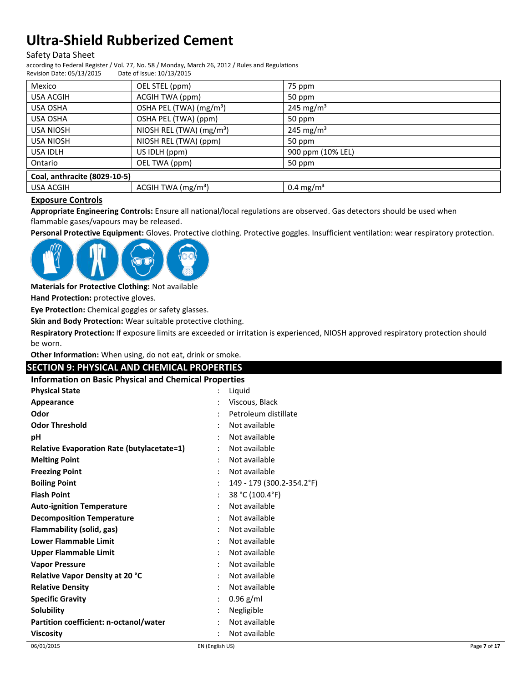#### Safety Data Sheet

according to Federal Register / Vol. 77, No. 58 / Monday, March 26, 2012 / Rules and Regulations<br>Revision Date: 05/13/2015 Date of Issue: 10/13/2015

Revision Date: 05/13/2015

| Mexico                       | OEL STEL (ppm)                       | 75 ppm                |  |
|------------------------------|--------------------------------------|-----------------------|--|
| USA ACGIH                    | ACGIH TWA (ppm)                      | 50 ppm                |  |
| USA OSHA                     | OSHA PEL (TWA) (mg/m <sup>3</sup> )  | 245 mg/m <sup>3</sup> |  |
| USA OSHA                     | OSHA PEL (TWA) (ppm)                 | 50 ppm                |  |
| <b>USA NIOSH</b>             | NIOSH REL (TWA) (mg/m <sup>3</sup> ) | 245 mg/m <sup>3</sup> |  |
| <b>USA NIOSH</b>             | NIOSH REL (TWA) (ppm)                | 50 ppm                |  |
| <b>USA IDLH</b>              | US IDLH (ppm)                        | 900 ppm (10% LEL)     |  |
| Ontario                      | OEL TWA (ppm)                        | 50 ppm                |  |
| Coal, anthracite (8029-10-5) |                                      |                       |  |
| <b>USA ACGIH</b>             | ACGIH TWA $(mg/m3)$                  | $0.4 \text{ mg/m}^3$  |  |

### **Exposure Controls**

**Appropriate Engineering Controls:** Ensure all national/local regulations are observed. Gas detectors should be used when flammable gases/vapours may be released.

**Personal Protective Equipment:** Gloves. Protective clothing. Protective goggles. Insufficient ventilation: wear respiratory protection.



**Materials for Protective Clothing:** Not available

**Hand Protection:** protective gloves.

**Eye Protection:** Chemical goggles or safety glasses.

**Skin and Body Protection:** Wear suitable protective clothing.

**Respiratory Protection:** If exposure limits are exceeded or irritation is experienced, NIOSH approved respiratory protection should be worn.

**Other Information:** When using, do not eat, drink or smoke.

### **SECTION 9: PHYSICAL AND CHEMICAL PROPERTIES**

**Information on Basic Physical and Chemical Properties**

| <b>Physical State</b>                             | $\ddot{\cdot}$       | Liquid                    |
|---------------------------------------------------|----------------------|---------------------------|
| Appearance                                        |                      | Viscous, Black            |
| Odor                                              |                      | Petroleum distillate      |
| <b>Odor Threshold</b>                             |                      | Not available             |
| pH                                                |                      | Not available             |
| <b>Relative Evaporation Rate (butylacetate=1)</b> |                      | Not available             |
| <b>Melting Point</b>                              |                      | Not available             |
| <b>Freezing Point</b>                             |                      | Not available             |
| <b>Boiling Point</b>                              | $\ddot{\phantom{a}}$ | 149 - 179 (300.2-354.2°F) |
| <b>Flash Point</b>                                |                      | 38 °C (100.4°F)           |
| <b>Auto-ignition Temperature</b>                  | $\ddot{\cdot}$       | Not available             |
| <b>Decomposition Temperature</b>                  |                      | Not available             |
| Flammability (solid, gas)                         |                      | Not available             |
| <b>Lower Flammable Limit</b>                      |                      | Not available             |
| Upper Flammable Limit                             |                      | Not available             |
| <b>Vapor Pressure</b>                             |                      | Not available             |
| Relative Vapor Density at 20 °C                   |                      | Not available             |
| <b>Relative Density</b>                           |                      | Not available             |
| <b>Specific Gravity</b>                           | $\ddot{\phantom{a}}$ | $0.96$ g/ml               |
| Solubility                                        |                      | Negligible                |
| Partition coefficient: n-octanol/water            |                      | Not available             |
| <b>Viscosity</b>                                  | $\ddot{\cdot}$       | Not available             |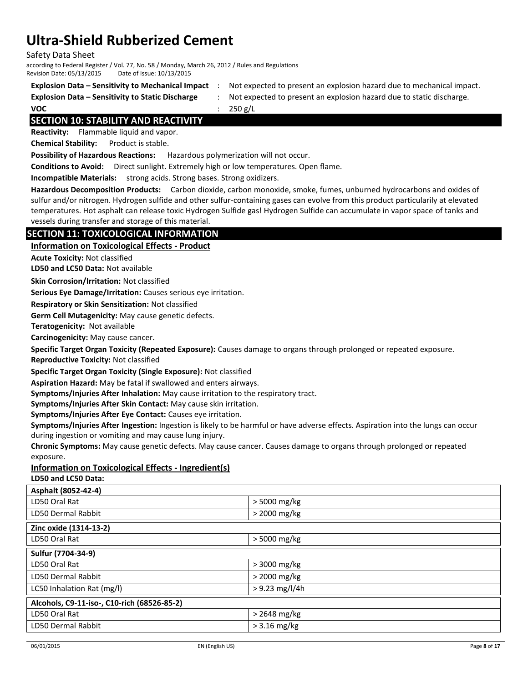Safety Data Sheet

according to Federal Register / Vol. 77, No. 58 / Monday, March 26, 2012 / Rules and Regulations Revision Date: 05/13/2015 Date of Issue: 10/13/2015

**Explosion Data – Sensitivity to Mechanical Impact** : Not expected to present an explosion hazard due to mechanical impact. **Explosion Data – Sensitivity to Static Discharge** : Not expected to present an explosion hazard due to static discharge.

**VOC** : 250 g/L

### **SECTION 10: STABILITY AND REACTIVITY**

**Reactivity:** Flammable liquid and vapor.

**Chemical Stability:** Product is stable.

**Possibility of Hazardous Reactions:** Hazardous polymerization will not occur.

**Conditions to Avoid:** Direct sunlight. Extremely high or low temperatures. Open flame.

**Incompatible Materials:** strong acids. Strong bases. Strong oxidizers.

**Hazardous Decomposition Products:** Carbon dioxide, carbon monoxide, smoke, fumes, unburned hydrocarbons and oxides of sulfur and/or nitrogen. Hydrogen sulfide and other sulfur-containing gases can evolve from this product particularily at elevated temperatures. Hot asphalt can release toxic Hydrogen Sulfide gas! Hydrogen Sulfide can accumulate in vapor space of tanks and vessels during transfer and storage of this material.

### **SECTION 11: TOXICOLOGICAL INFORMATION**

## **Information on Toxicological Effects - Product**

**Acute Toxicity:** Not classified

**LD50 and LC50 Data:** Not available

**Skin Corrosion/Irritation:** Not classified

**Serious Eye Damage/Irritation:** Causes serious eye irritation.

**Respiratory or Skin Sensitization:** Not classified

**Germ Cell Mutagenicity:** May cause genetic defects.

**Teratogenicity:** Not available

**Carcinogenicity:** May cause cancer.

**Specific Target Organ Toxicity (Repeated Exposure):** Causes damage to organs through prolonged or repeated exposure.

**Reproductive Toxicity:** Not classified

**Specific Target Organ Toxicity (Single Exposure):** Not classified

**Aspiration Hazard:** May be fatal if swallowed and enters airways.

**Symptoms/Injuries After Inhalation:** May cause irritation to the respiratory tract.

**Symptoms/Injuries After Skin Contact:** May cause skin irritation.

**Symptoms/Injuries After Eye Contact:** Causes eye irritation.

**Symptoms/Injuries After Ingestion:** Ingestion is likely to be harmful or have adverse effects. Aspiration into the lungs can occur during ingestion or vomiting and may cause lung injury.

**Chronic Symptoms:** May cause genetic defects. May cause cancer. Causes damage to organs through prolonged or repeated exposure.

### **Information on Toxicological Effects - Ingredient(s)**

**LD50 and LC50 Data:**

| Asphalt (8052-42-4)                         |                  |  |
|---------------------------------------------|------------------|--|
| LD50 Oral Rat                               | $>$ 5000 mg/kg   |  |
| LD50 Dermal Rabbit                          | $>$ 2000 mg/kg   |  |
| Zinc oxide (1314-13-2)                      |                  |  |
| LD50 Oral Rat                               | $>$ 5000 mg/kg   |  |
| Sulfur (7704-34-9)                          |                  |  |
| LD50 Oral Rat                               | > 3000 mg/kg     |  |
| LD50 Dermal Rabbit                          | > 2000 mg/kg     |  |
| LC50 Inhalation Rat (mg/l)                  | $> 9.23$ mg/l/4h |  |
| Alcohols, C9-11-iso-, C10-rich (68526-85-2) |                  |  |
| LD50 Oral Rat                               | $>2648$ mg/kg    |  |
| LD50 Dermal Rabbit                          | $>$ 3.16 mg/kg   |  |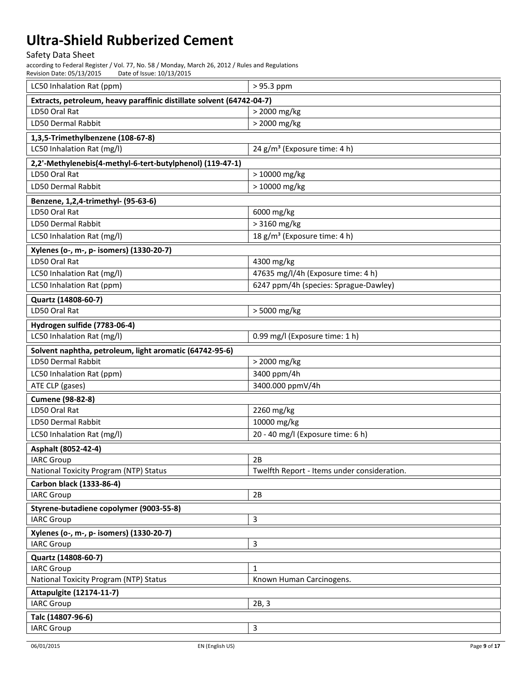# Safety Data Sheet

| LC50 Inhalation Rat (ppm)                                             | > 95.3 ppm                                  |  |
|-----------------------------------------------------------------------|---------------------------------------------|--|
| Extracts, petroleum, heavy paraffinic distillate solvent (64742-04-7) |                                             |  |
| LD50 Oral Rat                                                         | > 2000 mg/kg                                |  |
| LD50 Dermal Rabbit                                                    | > 2000 mg/kg                                |  |
| 1,3,5-Trimethylbenzene (108-67-8)                                     |                                             |  |
| LC50 Inhalation Rat (mg/l)                                            | 24 g/m <sup>3</sup> (Exposure time: 4 h)    |  |
| 2,2'-Methylenebis(4-methyl-6-tert-butylphenol) (119-47-1)             |                                             |  |
| LD50 Oral Rat                                                         | > 10000 mg/kg                               |  |
| LD50 Dermal Rabbit                                                    | > 10000 mg/kg                               |  |
| Benzene, 1,2,4-trimethyl- (95-63-6)                                   |                                             |  |
| LD50 Oral Rat                                                         | 6000 mg/kg                                  |  |
| LD50 Dermal Rabbit                                                    | > 3160 mg/kg                                |  |
| LC50 Inhalation Rat (mg/l)                                            | 18 g/m <sup>3</sup> (Exposure time: 4 h)    |  |
| Xylenes (o-, m-, p- isomers) (1330-20-7)                              |                                             |  |
| LD50 Oral Rat                                                         | 4300 mg/kg                                  |  |
| LC50 Inhalation Rat (mg/l)                                            | 47635 mg/l/4h (Exposure time: 4 h)          |  |
| LC50 Inhalation Rat (ppm)                                             | 6247 ppm/4h (species: Sprague-Dawley)       |  |
| Quartz (14808-60-7)                                                   |                                             |  |
| LD50 Oral Rat                                                         | > 5000 mg/kg                                |  |
| Hydrogen sulfide (7783-06-4)                                          |                                             |  |
| LC50 Inhalation Rat (mg/l)                                            | 0.99 mg/l (Exposure time: 1 h)              |  |
| Solvent naphtha, petroleum, light aromatic (64742-95-6)               |                                             |  |
| LD50 Dermal Rabbit                                                    | > 2000 mg/kg                                |  |
| LC50 Inhalation Rat (ppm)                                             | 3400 ppm/4h                                 |  |
| ATE CLP (gases)                                                       | 3400.000 ppmV/4h                            |  |
| <b>Cumene (98-82-8)</b>                                               |                                             |  |
| LD50 Oral Rat                                                         | 2260 mg/kg                                  |  |
| LD50 Dermal Rabbit                                                    | 10000 mg/kg                                 |  |
| LC50 Inhalation Rat (mg/l)                                            | 20 - 40 mg/l (Exposure time: 6 h)           |  |
| Asphalt (8052-42-4)                                                   |                                             |  |
| <b>IARC Group</b>                                                     | 2B                                          |  |
| National Toxicity Program (NTP) Status                                | Twelfth Report - Items under consideration. |  |
| Carbon black (1333-86-4)                                              |                                             |  |
| <b>IARC Group</b>                                                     | 2B                                          |  |
| Styrene-butadiene copolymer (9003-55-8)                               |                                             |  |
| <b>IARC Group</b>                                                     | 3                                           |  |
| Xylenes (o-, m-, p- isomers) (1330-20-7)                              |                                             |  |
| <b>IARC Group</b>                                                     | 3                                           |  |
| Quartz (14808-60-7)                                                   |                                             |  |
| <b>IARC Group</b>                                                     | 1                                           |  |
| National Toxicity Program (NTP) Status                                | Known Human Carcinogens.                    |  |
| <b>Attapulgite (12174-11-7)</b><br><b>IARC Group</b>                  | 2B, 3                                       |  |
|                                                                       |                                             |  |
| Talc (14807-96-6)                                                     | 3                                           |  |
| <b>IARC Group</b>                                                     |                                             |  |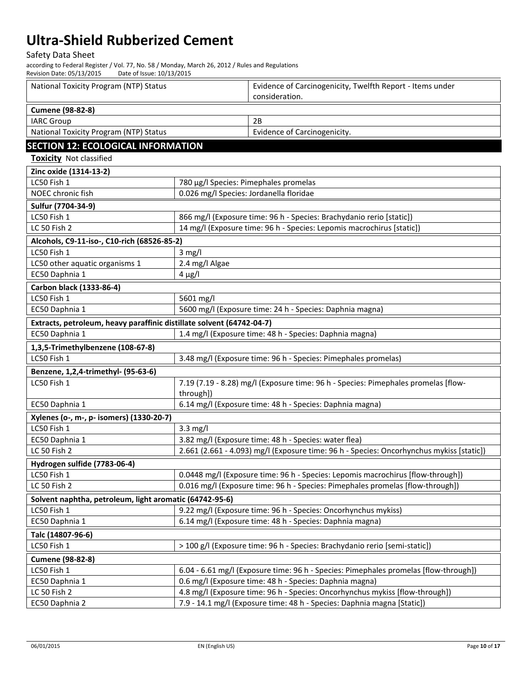# Safety Data Sheet

| National Toxicity Program (NTP) Status                                |                                                                                      | Evidence of Carcinogenicity, Twelfth Report - Items under<br>consideration.                                                                   |  |  |
|-----------------------------------------------------------------------|--------------------------------------------------------------------------------------|-----------------------------------------------------------------------------------------------------------------------------------------------|--|--|
| <b>Cumene (98-82-8)</b>                                               |                                                                                      |                                                                                                                                               |  |  |
| <b>IARC Group</b>                                                     |                                                                                      | 2B                                                                                                                                            |  |  |
| National Toxicity Program (NTP) Status                                |                                                                                      | Evidence of Carcinogenicity.                                                                                                                  |  |  |
| <b>SECTION 12: ECOLOGICAL INFORMATION</b>                             |                                                                                      |                                                                                                                                               |  |  |
| Toxicity Not classified                                               |                                                                                      |                                                                                                                                               |  |  |
|                                                                       |                                                                                      |                                                                                                                                               |  |  |
| Zinc oxide (1314-13-2)                                                |                                                                                      |                                                                                                                                               |  |  |
| LC50 Fish 1                                                           | 780 μg/l Species: Pimephales promelas                                                |                                                                                                                                               |  |  |
|                                                                       | 0.026 mg/l Species: Jordanella floridae<br>NOEC chronic fish                         |                                                                                                                                               |  |  |
| Sulfur (7704-34-9)<br>LC50 Fish 1                                     |                                                                                      |                                                                                                                                               |  |  |
| LC 50 Fish 2                                                          |                                                                                      | 866 mg/l (Exposure time: 96 h - Species: Brachydanio rerio [static])<br>14 mg/l (Exposure time: 96 h - Species: Lepomis macrochirus [static]) |  |  |
|                                                                       |                                                                                      |                                                                                                                                               |  |  |
| Alcohols, C9-11-iso-, C10-rich (68526-85-2)                           |                                                                                      |                                                                                                                                               |  |  |
| LC50 Fish 1                                                           | $3$ mg/l                                                                             |                                                                                                                                               |  |  |
| LC50 other aquatic organisms 1                                        | 2.4 mg/l Algae                                                                       |                                                                                                                                               |  |  |
| EC50 Daphnia 1                                                        | $4 \mu g/l$                                                                          |                                                                                                                                               |  |  |
| Carbon black (1333-86-4)                                              |                                                                                      |                                                                                                                                               |  |  |
|                                                                       | LC50 Fish 1<br>5601 mg/l                                                             |                                                                                                                                               |  |  |
| EC50 Daphnia 1                                                        |                                                                                      | 5600 mg/l (Exposure time: 24 h - Species: Daphnia magna)                                                                                      |  |  |
| Extracts, petroleum, heavy paraffinic distillate solvent (64742-04-7) |                                                                                      |                                                                                                                                               |  |  |
| EC50 Daphnia 1                                                        |                                                                                      | 1.4 mg/l (Exposure time: 48 h - Species: Daphnia magna)                                                                                       |  |  |
| 1,3,5-Trimethylbenzene (108-67-8)                                     |                                                                                      |                                                                                                                                               |  |  |
| LC50 Fish 1                                                           |                                                                                      | 3.48 mg/l (Exposure time: 96 h - Species: Pimephales promelas)                                                                                |  |  |
| Benzene, 1,2,4-trimethyl- (95-63-6)                                   |                                                                                      |                                                                                                                                               |  |  |
| LC50 Fish 1                                                           | 7.19 (7.19 - 8.28) mg/l (Exposure time: 96 h - Species: Pimephales promelas [flow-   |                                                                                                                                               |  |  |
|                                                                       | through])                                                                            |                                                                                                                                               |  |  |
| EC50 Daphnia 1                                                        | 6.14 mg/l (Exposure time: 48 h - Species: Daphnia magna)                             |                                                                                                                                               |  |  |
| Xylenes (o-, m-, p- isomers) (1330-20-7)                              |                                                                                      |                                                                                                                                               |  |  |
| LC50 Fish 1                                                           | $3.3$ mg/l                                                                           |                                                                                                                                               |  |  |
| EC50 Daphnia 1                                                        | 3.82 mg/l (Exposure time: 48 h - Species: water flea)                                |                                                                                                                                               |  |  |
| LC 50 Fish 2                                                          |                                                                                      | 2.661 (2.661 - 4.093) mg/l (Exposure time: 96 h - Species: Oncorhynchus mykiss [static])                                                      |  |  |
| Hydrogen sulfide (7783-06-4)                                          |                                                                                      |                                                                                                                                               |  |  |
| LC50 Fish 1                                                           | 0.0448 mg/l (Exposure time: 96 h - Species: Lepomis macrochirus [flow-through])      |                                                                                                                                               |  |  |
| LC 50 Fish 2                                                          |                                                                                      | 0.016 mg/l (Exposure time: 96 h - Species: Pimephales promelas [flow-through])                                                                |  |  |
| Solvent naphtha, petroleum, light aromatic (64742-95-6)               |                                                                                      |                                                                                                                                               |  |  |
| LC50 Fish 1                                                           |                                                                                      | 9.22 mg/l (Exposure time: 96 h - Species: Oncorhynchus mykiss)                                                                                |  |  |
| EC50 Daphnia 1                                                        |                                                                                      | 6.14 mg/l (Exposure time: 48 h - Species: Daphnia magna)                                                                                      |  |  |
| Talc (14807-96-6)                                                     |                                                                                      |                                                                                                                                               |  |  |
| LC50 Fish 1                                                           | > 100 g/l (Exposure time: 96 h - Species: Brachydanio rerio [semi-static])           |                                                                                                                                               |  |  |
| <b>Cumene (98-82-8)</b>                                               |                                                                                      |                                                                                                                                               |  |  |
| LC50 Fish 1                                                           | 6.04 - 6.61 mg/l (Exposure time: 96 h - Species: Pimephales promelas [flow-through]) |                                                                                                                                               |  |  |
| EC50 Daphnia 1                                                        | 0.6 mg/l (Exposure time: 48 h - Species: Daphnia magna)                              |                                                                                                                                               |  |  |
| LC 50 Fish 2                                                          | 4.8 mg/l (Exposure time: 96 h - Species: Oncorhynchus mykiss [flow-through])         |                                                                                                                                               |  |  |
| EC50 Daphnia 2                                                        | 7.9 - 14.1 mg/l (Exposure time: 48 h - Species: Daphnia magna [Static])              |                                                                                                                                               |  |  |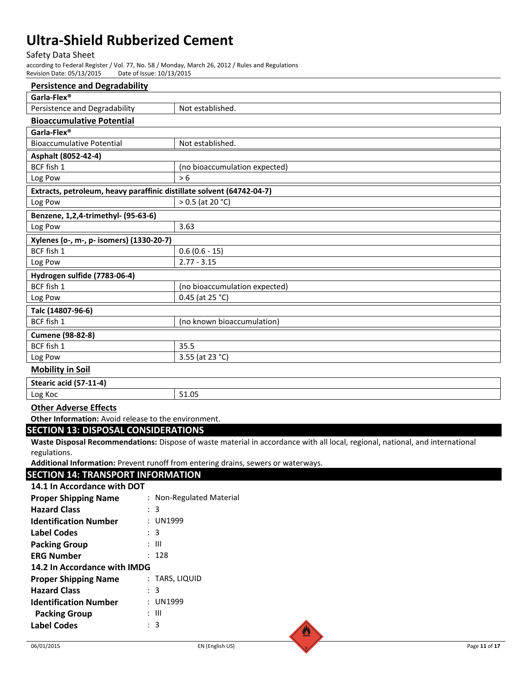#### Safety Data Sheet

according to Federal Register / Vol. 77, No. 58 / Monday, March 26, 2012 / Rules and Regulations Revision Date: 05/13/2015

| <b>Persistence and Degradability</b>                                  |                               |  |  |
|-----------------------------------------------------------------------|-------------------------------|--|--|
| Garla-Flex <sup>®</sup>                                               |                               |  |  |
| Persistence and Degradability                                         | Not established.              |  |  |
| <b>Bioaccumulative Potential</b>                                      |                               |  |  |
| Garla-Flex®                                                           |                               |  |  |
| <b>Bioaccumulative Potential</b>                                      | Not established.              |  |  |
| Asphalt (8052-42-4)                                                   |                               |  |  |
| BCF fish 1                                                            | (no bioaccumulation expected) |  |  |
| Log Pow                                                               | > 6                           |  |  |
| Extracts, petroleum, heavy paraffinic distillate solvent (64742-04-7) |                               |  |  |
| Log Pow                                                               | $> 0.5$ (at 20 °C)            |  |  |
| Benzene, 1,2,4-trimethyl- (95-63-6)                                   |                               |  |  |
| Log Pow                                                               | 3.63                          |  |  |
| Xylenes (o-, m-, p- isomers) (1330-20-7)                              |                               |  |  |
| BCF fish 1                                                            | $0.6(0.6 - 15)$               |  |  |
| Log Pow                                                               | $2.77 - 3.15$                 |  |  |
| Hydrogen sulfide (7783-06-4)                                          |                               |  |  |
| BCF fish 1                                                            | (no bioaccumulation expected) |  |  |
| Log Pow                                                               | $0.45$ (at 25 °C)             |  |  |
| Talc (14807-96-6)                                                     |                               |  |  |
| BCF fish 1                                                            | (no known bioaccumulation)    |  |  |
| <b>Cumene (98-82-8)</b>                                               |                               |  |  |
| BCF fish 1                                                            | 35.5                          |  |  |
| Log Pow                                                               | 3.55 (at 23 °C)               |  |  |
| <b>Mobility in Soil</b>                                               |                               |  |  |
| Stearic acid (57-11-4)                                                |                               |  |  |
| Log Koc                                                               | 51.05                         |  |  |

### **Other Adverse Effects**

**Other Information:** Avoid release to the environment.

### **SECTION 13: DISPOSAL CONSIDERATIONS**

**Waste Disposal Recommendations:** Dispose of waste material in accordance with all local, regional, national, and international regulations.

**Additional Information:** Prevent runoff from entering drains, sewers or waterways.

| <b>SECTION 14: TRANSPORT INFORMATION</b> |  |                          |
|------------------------------------------|--|--------------------------|
| 14.1 In Accordance with DOT              |  |                          |
| <b>Proper Shipping Name</b>              |  | : Non-Regulated Material |
| <b>Hazard Class</b>                      |  | : 3                      |
| <b>Identification Number</b>             |  | : UN1999                 |
| Label Codes                              |  | : 3                      |
| <b>Packing Group</b>                     |  | : III                    |
| <b>ERG Number</b>                        |  | : 128                    |
| 14.2 In Accordance with IMDG             |  |                          |
| <b>Proper Shipping Name</b>              |  | : TARS, LIQUID           |
| <b>Hazard Class</b>                      |  | : 3                      |
| <b>Identification Number</b>             |  | : UN1999                 |
| <b>Packing Group</b>                     |  | : III                    |
| <b>Label Codes</b>                       |  | : 3                      |
|                                          |  |                          |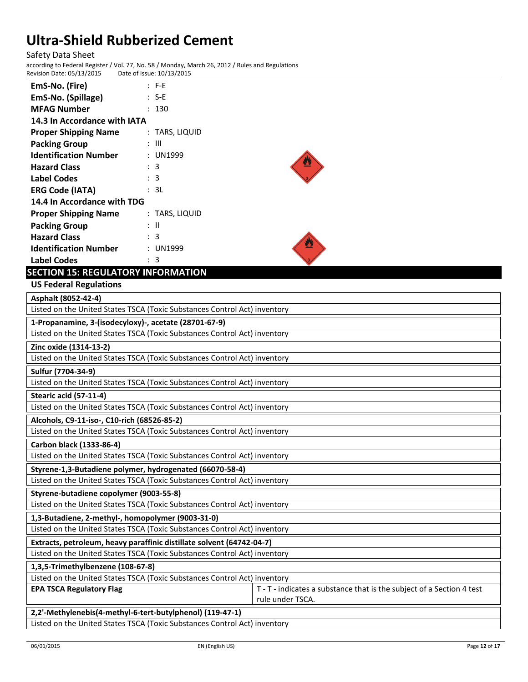# Safety Data Sheet according to Federal Register / Vol. 77, No. 58 / Monday, March 26, 2012 / Rules and Regulations<br>Revision Date: 05/13/2015 Date of Issue: 10/13/2015

 $Revision Date: 05/13/2015$ 

| EmS-No. (Fire)               |  | : F-F          |
|------------------------------|--|----------------|
| EmS-No. (Spillage)           |  | : S-E          |
| <b>MFAG Number</b>           |  | 130            |
| 14.3 In Accordance with IATA |  |                |
| <b>Proper Shipping Name</b>  |  | : TARS, LIQUID |
| <b>Packing Group</b>         |  | : III          |
| <b>Identification Number</b> |  | : UN1999       |
| <b>Hazard Class</b>          |  | : 3            |
| Label Codes                  |  | : 3            |
| <b>ERG Code (IATA)</b>       |  | : 3L           |
| 14.4 In Accordance with TDG  |  |                |
| <b>Proper Shipping Name</b>  |  | : TARS, LIQUID |
| <b>Packing Group</b>         |  | : II           |
| <b>Hazard Class</b>          |  | : 3            |
| <b>Identification Number</b> |  | : UN1999       |
| Label Codes                  |  | : 3            |



# **SECTION 15: REGULATORY INFORMATION**

**US Federal Regulations**

| Asphalt (8052-42-4)                                                                                                          |  |  |
|------------------------------------------------------------------------------------------------------------------------------|--|--|
| Listed on the United States TSCA (Toxic Substances Control Act) inventory                                                    |  |  |
| 1-Propanamine, 3-(isodecyloxy)-, acetate (28701-67-9)                                                                        |  |  |
| Listed on the United States TSCA (Toxic Substances Control Act) inventory                                                    |  |  |
| Zinc oxide (1314-13-2)                                                                                                       |  |  |
| Listed on the United States TSCA (Toxic Substances Control Act) inventory                                                    |  |  |
| Sulfur (7704-34-9)                                                                                                           |  |  |
| Listed on the United States TSCA (Toxic Substances Control Act) inventory                                                    |  |  |
| Stearic acid (57-11-4)                                                                                                       |  |  |
| Listed on the United States TSCA (Toxic Substances Control Act) inventory                                                    |  |  |
| Alcohols, C9-11-iso-, C10-rich (68526-85-2)                                                                                  |  |  |
| Listed on the United States TSCA (Toxic Substances Control Act) inventory                                                    |  |  |
| Carbon black (1333-86-4)                                                                                                     |  |  |
| Listed on the United States TSCA (Toxic Substances Control Act) inventory                                                    |  |  |
| Styrene-1,3-Butadiene polymer, hydrogenated (66070-58-4)                                                                     |  |  |
| Listed on the United States TSCA (Toxic Substances Control Act) inventory                                                    |  |  |
| Styrene-butadiene copolymer (9003-55-8)                                                                                      |  |  |
| Listed on the United States TSCA (Toxic Substances Control Act) inventory                                                    |  |  |
| 1,3-Butadiene, 2-methyl-, homopolymer (9003-31-0)                                                                            |  |  |
| Listed on the United States TSCA (Toxic Substances Control Act) inventory                                                    |  |  |
| Extracts, petroleum, heavy paraffinic distillate solvent (64742-04-7)                                                        |  |  |
| Listed on the United States TSCA (Toxic Substances Control Act) inventory                                                    |  |  |
| 1,3,5-Trimethylbenzene (108-67-8)                                                                                            |  |  |
| Listed on the United States TSCA (Toxic Substances Control Act) inventory                                                    |  |  |
| T - T - indicates a substance that is the subject of a Section 4 test<br><b>EPA TSCA Regulatory Flag</b><br>rule under TSCA. |  |  |
| 2,2'-Methylenebis(4-methyl-6-tert-butylphenol) (119-47-1)                                                                    |  |  |
| Listed on the United States TSCA (Toxic Substances Control Act) inventory                                                    |  |  |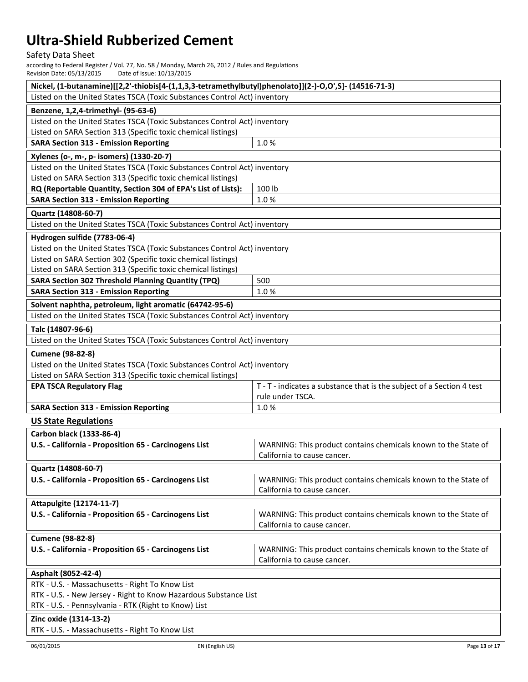# Safety Data Sheet

| Nickel, (1-butanamine)[[2,2'-thiobis[4-(1,1,3,3-tetramethylbutyl)phenolato]](2-)-O,O',S]- (14516-71-3) |                                                                       |  |
|--------------------------------------------------------------------------------------------------------|-----------------------------------------------------------------------|--|
| Listed on the United States TSCA (Toxic Substances Control Act) inventory                              |                                                                       |  |
| Benzene, 1,2,4-trimethyl- (95-63-6)                                                                    |                                                                       |  |
| Listed on the United States TSCA (Toxic Substances Control Act) inventory                              |                                                                       |  |
| Listed on SARA Section 313 (Specific toxic chemical listings)                                          |                                                                       |  |
| <b>SARA Section 313 - Emission Reporting</b>                                                           | 1.0%                                                                  |  |
| Xylenes (o-, m-, p- isomers) (1330-20-7)                                                               |                                                                       |  |
| Listed on the United States TSCA (Toxic Substances Control Act) inventory                              |                                                                       |  |
| Listed on SARA Section 313 (Specific toxic chemical listings)                                          |                                                                       |  |
| RQ (Reportable Quantity, Section 304 of EPA's List of Lists):                                          | 100 lb                                                                |  |
| <b>SARA Section 313 - Emission Reporting</b>                                                           | 1.0%                                                                  |  |
| Quartz (14808-60-7)                                                                                    |                                                                       |  |
| Listed on the United States TSCA (Toxic Substances Control Act) inventory                              |                                                                       |  |
| Hydrogen sulfide (7783-06-4)                                                                           |                                                                       |  |
| Listed on the United States TSCA (Toxic Substances Control Act) inventory                              |                                                                       |  |
| Listed on SARA Section 302 (Specific toxic chemical listings)                                          |                                                                       |  |
| Listed on SARA Section 313 (Specific toxic chemical listings)                                          |                                                                       |  |
| <b>SARA Section 302 Threshold Planning Quantity (TPQ)</b>                                              | 500                                                                   |  |
| <b>SARA Section 313 - Emission Reporting</b>                                                           | 1.0%                                                                  |  |
| Solvent naphtha, petroleum, light aromatic (64742-95-6)                                                |                                                                       |  |
| Listed on the United States TSCA (Toxic Substances Control Act) inventory                              |                                                                       |  |
| Talc (14807-96-6)                                                                                      |                                                                       |  |
| Listed on the United States TSCA (Toxic Substances Control Act) inventory                              |                                                                       |  |
| <b>Cumene (98-82-8)</b>                                                                                |                                                                       |  |
| Listed on the United States TSCA (Toxic Substances Control Act) inventory                              |                                                                       |  |
| Listed on SARA Section 313 (Specific toxic chemical listings)                                          |                                                                       |  |
| <b>EPA TSCA Regulatory Flag</b>                                                                        | T - T - indicates a substance that is the subject of a Section 4 test |  |
|                                                                                                        | rule under TSCA.                                                      |  |
| <b>SARA Section 313 - Emission Reporting</b>                                                           | 1.0%                                                                  |  |
| <b>US State Regulations</b>                                                                            |                                                                       |  |
| Carbon black (1333-86-4)                                                                               |                                                                       |  |
| U.S. - California - Proposition 65 - Carcinogens List                                                  | WARNING: This product contains chemicals known to the State of        |  |
|                                                                                                        | California to cause cancer.                                           |  |
| Quartz (14808-60-7)                                                                                    |                                                                       |  |
| U.S. - California - Proposition 65 - Carcinogens List                                                  | WARNING: This product contains chemicals known to the State of        |  |
|                                                                                                        | California to cause cancer.                                           |  |
| <b>Attapulgite (12174-11-7)</b>                                                                        |                                                                       |  |
| U.S. - California - Proposition 65 - Carcinogens List                                                  | WARNING: This product contains chemicals known to the State of        |  |
|                                                                                                        | California to cause cancer.                                           |  |
| <b>Cumene (98-82-8)</b>                                                                                |                                                                       |  |
| U.S. - California - Proposition 65 - Carcinogens List                                                  | WARNING: This product contains chemicals known to the State of        |  |
|                                                                                                        | California to cause cancer.                                           |  |
| Asphalt (8052-42-4)                                                                                    |                                                                       |  |
| RTK - U.S. - Massachusetts - Right To Know List                                                        |                                                                       |  |
| RTK - U.S. - New Jersey - Right to Know Hazardous Substance List                                       |                                                                       |  |
| RTK - U.S. - Pennsylvania - RTK (Right to Know) List                                                   |                                                                       |  |
| Zinc oxide (1314-13-2)                                                                                 |                                                                       |  |
| RTK - U.S. - Massachusetts - Right To Know List                                                        |                                                                       |  |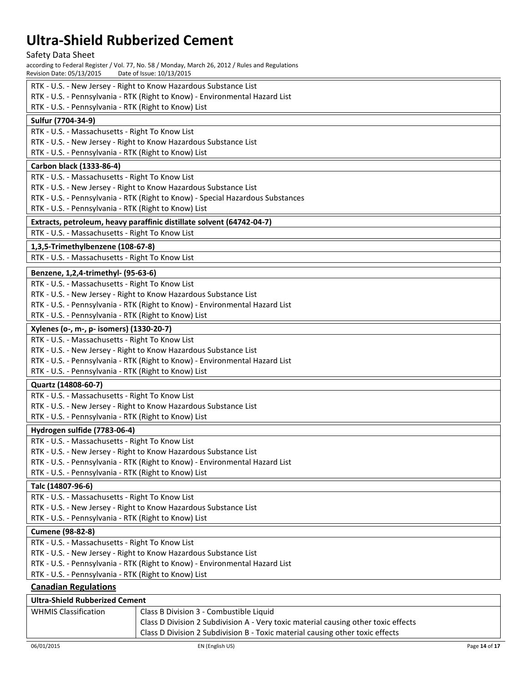Safety Data Sheet

| Revision Date: 05/13/2015<br>Date of Issue: 10/13/2015                                                                                          |
|-------------------------------------------------------------------------------------------------------------------------------------------------|
| RTK - U.S. - New Jersey - Right to Know Hazardous Substance List                                                                                |
| RTK - U.S. - Pennsylvania - RTK (Right to Know) - Environmental Hazard List                                                                     |
| RTK - U.S. - Pennsylvania - RTK (Right to Know) List                                                                                            |
| Sulfur (7704-34-9)                                                                                                                              |
| RTK - U.S. - Massachusetts - Right To Know List                                                                                                 |
| RTK - U.S. - New Jersey - Right to Know Hazardous Substance List                                                                                |
| RTK - U.S. - Pennsylvania - RTK (Right to Know) List                                                                                            |
| Carbon black (1333-86-4)                                                                                                                        |
| RTK - U.S. - Massachusetts - Right To Know List                                                                                                 |
| RTK - U.S. - New Jersey - Right to Know Hazardous Substance List                                                                                |
| RTK - U.S. - Pennsylvania - RTK (Right to Know) - Special Hazardous Substances                                                                  |
| RTK - U.S. - Pennsylvania - RTK (Right to Know) List                                                                                            |
| Extracts, petroleum, heavy paraffinic distillate solvent (64742-04-7)                                                                           |
| RTK - U.S. - Massachusetts - Right To Know List                                                                                                 |
| 1,3,5-Trimethylbenzene (108-67-8)                                                                                                               |
| RTK - U.S. - Massachusetts - Right To Know List                                                                                                 |
| Benzene, 1,2,4-trimethyl- (95-63-6)                                                                                                             |
| RTK - U.S. - Massachusetts - Right To Know List                                                                                                 |
| RTK - U.S. - New Jersey - Right to Know Hazardous Substance List                                                                                |
| RTK - U.S. - Pennsylvania - RTK (Right to Know) - Environmental Hazard List                                                                     |
| RTK - U.S. - Pennsylvania - RTK (Right to Know) List                                                                                            |
| Xylenes (o-, m-, p- isomers) (1330-20-7)                                                                                                        |
| RTK - U.S. - Massachusetts - Right To Know List                                                                                                 |
| RTK - U.S. - New Jersey - Right to Know Hazardous Substance List<br>RTK - U.S. - Pennsylvania - RTK (Right to Know) - Environmental Hazard List |
| RTK - U.S. - Pennsylvania - RTK (Right to Know) List                                                                                            |
| Quartz (14808-60-7)                                                                                                                             |
| RTK - U.S. - Massachusetts - Right To Know List                                                                                                 |
| RTK - U.S. - New Jersey - Right to Know Hazardous Substance List                                                                                |
| RTK - U.S. - Pennsylvania - RTK (Right to Know) List                                                                                            |
| Hydrogen sulfide (7783-06-4)                                                                                                                    |
| RTK - U.S. - Massachusetts - Right To Know List                                                                                                 |
| RTK - U.S. - New Jersey - Right to Know Hazardous Substance List                                                                                |
| RTK - U.S. - Pennsylvania - RTK (Right to Know) - Environmental Hazard List                                                                     |
| RTK - U.S. - Pennsylvania - RTK (Right to Know) List                                                                                            |
| Talc (14807-96-6)                                                                                                                               |
| RTK - U.S. - Massachusetts - Right To Know List                                                                                                 |
| RTK - U.S. - New Jersey - Right to Know Hazardous Substance List                                                                                |
| RTK - U.S. - Pennsylvania - RTK (Right to Know) List                                                                                            |
| <b>Cumene (98-82-8)</b>                                                                                                                         |
| RTK - U.S. - Massachusetts - Right To Know List                                                                                                 |
| RTK - U.S. - New Jersey - Right to Know Hazardous Substance List                                                                                |
| RTK - U.S. - Pennsylvania - RTK (Right to Know) - Environmental Hazard List                                                                     |
| RTK - U.S. - Pennsylvania - RTK (Right to Know) List                                                                                            |
| <b>Canadian Regulations</b>                                                                                                                     |
| <b>Ultra-Shield Rubberized Cement</b>                                                                                                           |

| <u>URA JINCIU INUDUCITECU CCINCIN</u> |                                                                                    |  |
|---------------------------------------|------------------------------------------------------------------------------------|--|
| <b>WHMIS Classification</b>           | Class B Division 3 - Combustible Liquid                                            |  |
|                                       | Class D Division 2 Subdivision A - Very toxic material causing other toxic effects |  |
|                                       | Class D Division 2 Subdivision B - Toxic material causing other toxic effects      |  |
|                                       |                                                                                    |  |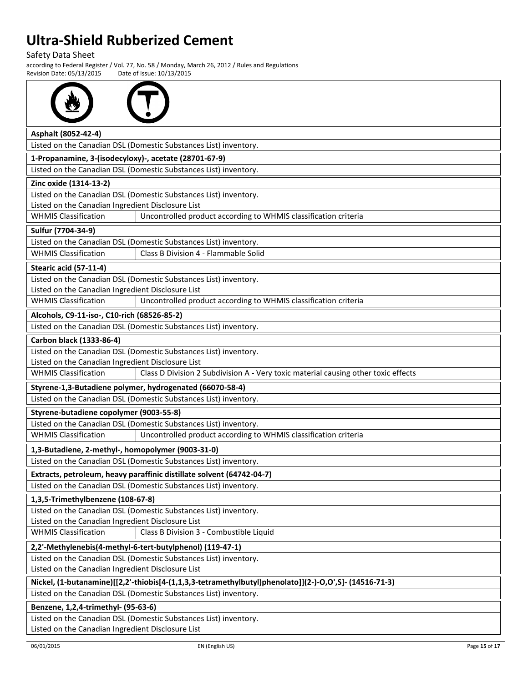Safety Data Sheet

| Asphalt (8052-42-4)                                                                                               |  |
|-------------------------------------------------------------------------------------------------------------------|--|
| Listed on the Canadian DSL (Domestic Substances List) inventory.                                                  |  |
| 1-Propanamine, 3-(isodecyloxy)-, acetate (28701-67-9)                                                             |  |
| Listed on the Canadian DSL (Domestic Substances List) inventory.                                                  |  |
| Zinc oxide (1314-13-2)                                                                                            |  |
| Listed on the Canadian DSL (Domestic Substances List) inventory.                                                  |  |
| Listed on the Canadian Ingredient Disclosure List                                                                 |  |
| <b>WHMIS Classification</b><br>Uncontrolled product according to WHMIS classification criteria                    |  |
| Sulfur (7704-34-9)                                                                                                |  |
| Listed on the Canadian DSL (Domestic Substances List) inventory.                                                  |  |
| <b>WHMIS Classification</b><br>Class B Division 4 - Flammable Solid                                               |  |
| Stearic acid (57-11-4)                                                                                            |  |
| Listed on the Canadian DSL (Domestic Substances List) inventory.                                                  |  |
| Listed on the Canadian Ingredient Disclosure List                                                                 |  |
| <b>WHMIS Classification</b><br>Uncontrolled product according to WHMIS classification criteria                    |  |
| Alcohols, C9-11-iso-, C10-rich (68526-85-2)                                                                       |  |
| Listed on the Canadian DSL (Domestic Substances List) inventory.                                                  |  |
| Carbon black (1333-86-4)                                                                                          |  |
| Listed on the Canadian DSL (Domestic Substances List) inventory.                                                  |  |
| Listed on the Canadian Ingredient Disclosure List                                                                 |  |
| <b>WHMIS Classification</b><br>Class D Division 2 Subdivision A - Very toxic material causing other toxic effects |  |
| Styrene-1,3-Butadiene polymer, hydrogenated (66070-58-4)                                                          |  |
| Listed on the Canadian DSL (Domestic Substances List) inventory.                                                  |  |
| Styrene-butadiene copolymer (9003-55-8)                                                                           |  |
| Listed on the Canadian DSL (Domestic Substances List) inventory.                                                  |  |
| <b>WHMIS Classification</b><br>Uncontrolled product according to WHMIS classification criteria                    |  |
| 1,3-Butadiene, 2-methyl-, homopolymer (9003-31-0)                                                                 |  |
| Listed on the Canadian DSL (Domestic Substances List) inventory                                                   |  |
| Extracts, petroleum, heavy paraffinic distillate solvent (64742-04-7)                                             |  |
| Listed on the Canadian DSL (Domestic Substances List) inventory.                                                  |  |
| 1,3,5-Trimethylbenzene (108-67-8)                                                                                 |  |
| Listed on the Canadian DSL (Domestic Substances List) inventory.                                                  |  |
| Listed on the Canadian Ingredient Disclosure List                                                                 |  |
| <b>WHMIS Classification</b><br>Class B Division 3 - Combustible Liquid                                            |  |
| 2,2'-Methylenebis(4-methyl-6-tert-butylphenol) (119-47-1)                                                         |  |
| Listed on the Canadian DSL (Domestic Substances List) inventory.                                                  |  |
| Listed on the Canadian Ingredient Disclosure List                                                                 |  |
| Nickel, (1-butanamine)[[2,2'-thiobis[4-(1,1,3,3-tetramethylbutyl)phenolato]](2-)-O,O',S]- (14516-71-3)            |  |
| Listed on the Canadian DSL (Domestic Substances List) inventory.                                                  |  |
| Benzene, 1,2,4-trimethyl- (95-63-6)                                                                               |  |
| Listed on the Canadian DSL (Domestic Substances List) inventory.                                                  |  |
| Listed on the Canadian Ingredient Disclosure List                                                                 |  |
|                                                                                                                   |  |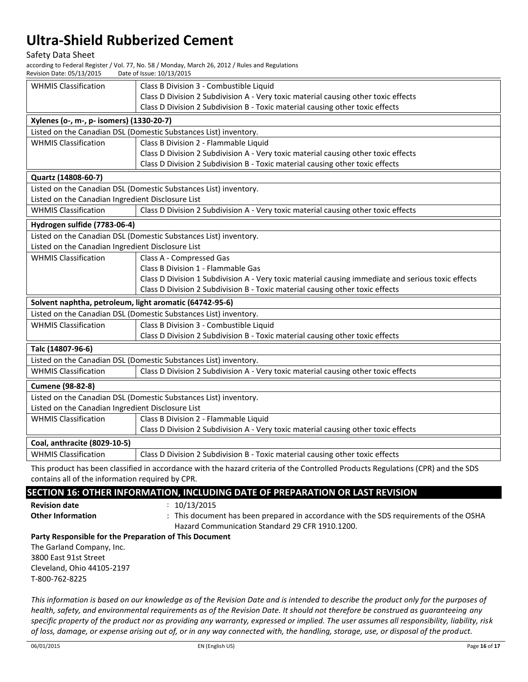#### Safety Data Sheet

according to Federal Register / Vol. 77, No. 58 / Monday, March 26, 2012 / Rules and Regulations

Revision Date: 05/13/2015 Date of Issue: 10/13/2015

| <b>WHMIS Classification</b>                                                                                                                                                                                                                                              | Class B Division 3 - Combustible Liquid                                                            |  |
|--------------------------------------------------------------------------------------------------------------------------------------------------------------------------------------------------------------------------------------------------------------------------|----------------------------------------------------------------------------------------------------|--|
|                                                                                                                                                                                                                                                                          | Class D Division 2 Subdivision A - Very toxic material causing other toxic effects                 |  |
|                                                                                                                                                                                                                                                                          | Class D Division 2 Subdivision B - Toxic material causing other toxic effects                      |  |
| Xylenes (o-, m-, p- isomers) (1330-20-7)                                                                                                                                                                                                                                 |                                                                                                    |  |
|                                                                                                                                                                                                                                                                          | Listed on the Canadian DSL (Domestic Substances List) inventory.                                   |  |
| <b>WHMIS Classification</b>                                                                                                                                                                                                                                              | Class B Division 2 - Flammable Liquid                                                              |  |
|                                                                                                                                                                                                                                                                          | Class D Division 2 Subdivision A - Very toxic material causing other toxic effects                 |  |
|                                                                                                                                                                                                                                                                          | Class D Division 2 Subdivision B - Toxic material causing other toxic effects                      |  |
| Quartz (14808-60-7)                                                                                                                                                                                                                                                      |                                                                                                    |  |
|                                                                                                                                                                                                                                                                          | Listed on the Canadian DSL (Domestic Substances List) inventory.                                   |  |
| Listed on the Canadian Ingredient Disclosure List                                                                                                                                                                                                                        |                                                                                                    |  |
| <b>WHMIS Classification</b>                                                                                                                                                                                                                                              | Class D Division 2 Subdivision A - Very toxic material causing other toxic effects                 |  |
| Hydrogen sulfide (7783-06-4)                                                                                                                                                                                                                                             |                                                                                                    |  |
|                                                                                                                                                                                                                                                                          | Listed on the Canadian DSL (Domestic Substances List) inventory.                                   |  |
| Listed on the Canadian Ingredient Disclosure List                                                                                                                                                                                                                        |                                                                                                    |  |
| <b>WHMIS Classification</b>                                                                                                                                                                                                                                              | Class A - Compressed Gas                                                                           |  |
|                                                                                                                                                                                                                                                                          | Class B Division 1 - Flammable Gas                                                                 |  |
|                                                                                                                                                                                                                                                                          | Class D Division 1 Subdivision A - Very toxic material causing immediate and serious toxic effects |  |
|                                                                                                                                                                                                                                                                          | Class D Division 2 Subdivision B - Toxic material causing other toxic effects                      |  |
| Solvent naphtha, petroleum, light aromatic (64742-95-6)                                                                                                                                                                                                                  |                                                                                                    |  |
|                                                                                                                                                                                                                                                                          | Listed on the Canadian DSL (Domestic Substances List) inventory.                                   |  |
| <b>WHMIS Classification</b>                                                                                                                                                                                                                                              | Class B Division 3 - Combustible Liquid                                                            |  |
|                                                                                                                                                                                                                                                                          | Class D Division 2 Subdivision B - Toxic material causing other toxic effects                      |  |
| Talc (14807-96-6)                                                                                                                                                                                                                                                        |                                                                                                    |  |
| Listed on the Canadian DSL (Domestic Substances List) inventory.                                                                                                                                                                                                         |                                                                                                    |  |
| <b>WHMIS Classification</b>                                                                                                                                                                                                                                              | Class D Division 2 Subdivision A - Very toxic material causing other toxic effects                 |  |
| <b>Cumene (98-82-8)</b>                                                                                                                                                                                                                                                  |                                                                                                    |  |
| Listed on the Canadian DSL (Domestic Substances List) inventory.                                                                                                                                                                                                         |                                                                                                    |  |
| Listed on the Canadian Ingredient Disclosure List                                                                                                                                                                                                                        |                                                                                                    |  |
| <b>WHMIS Classification</b>                                                                                                                                                                                                                                              | Class B Division 2 - Flammable Liquid                                                              |  |
|                                                                                                                                                                                                                                                                          | Class D Division 2 Subdivision A - Very toxic material causing other toxic effects                 |  |
| Coal, anthracite (8029-10-5)                                                                                                                                                                                                                                             |                                                                                                    |  |
| <b>WHMIS Classification</b>                                                                                                                                                                                                                                              | Class D Division 2 Subdivision B - Toxic material causing other toxic effects                      |  |
| the contract of the contract of the contract of the contract of the contract of the contract of the contract of<br>$\mathbf{r}$ and $\mathbf{r}$ are the set of $\mathbf{r}$ and $\mathbf{r}$ are the set of $\mathbf{r}$<br>$1 \tcdot 1 \tcdot 1$ $1 \tcdot 1 \tcdot 1$ |                                                                                                    |  |

This product has been classified in accordance with the hazard criteria of the Controlled Products Regulations (CPR) and the SDS contains all of the information required by CPR.

### **SECTION 16: OTHER INFORMATION, INCLUDING DATE OF PREPARATION OR LAST REVISION**

- **Revision date** : 10/13/2015
- **Other Information** : This document has been prepared in accordance with the SDS requirements of the OSHA Hazard Communication Standard 29 CFR 1910.1200.

### **Party Responsible for the Preparation of This Document**

The Garland Company, Inc. 3800 East 91st Street Cleveland, Ohio 44105-2197 T-800-762-8225

*This information is based on our knowledge as of the Revision Date and is intended to describe the product only for the purposes of health, safety, and environmental requirements as of the Revision Date. It should not therefore be construed as guaranteeing any specific property of the product nor as providing any warranty, expressed or implied. The user assumes all responsibility, liability, risk of loss, damage, or expense arising out of, or in any way connected with, the handling, storage, use, or disposal of the product.*